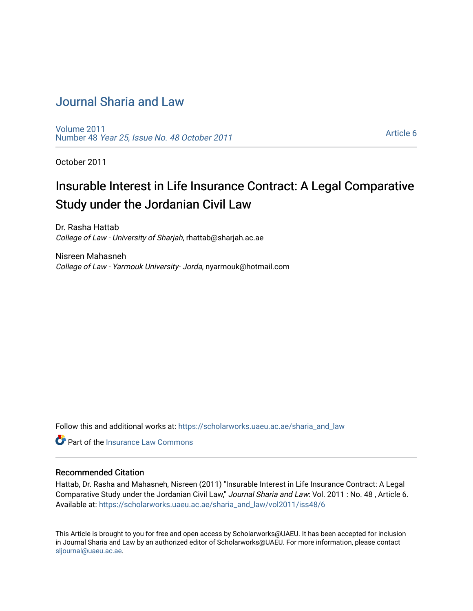## [Journal Sharia and Law](https://scholarworks.uaeu.ac.ae/sharia_and_law)

[Volume 2011](https://scholarworks.uaeu.ac.ae/sharia_and_law/vol2011)  Number 48 [Year 25, Issue No. 48 October 2011](https://scholarworks.uaeu.ac.ae/sharia_and_law/vol2011/iss48) 

[Article 6](https://scholarworks.uaeu.ac.ae/sharia_and_law/vol2011/iss48/6) 

October 2011

## Insurable Interest in Life Insurance Contract: A Legal Comparative Study under the Jordanian Civil Law

Dr. Rasha Hattab College of Law - University of Sharjah, rhattab@sharjah.ac.ae

Nisreen Mahasneh College of Law - Yarmouk University- Jorda, nyarmouk@hotmail.com

Follow this and additional works at: [https://scholarworks.uaeu.ac.ae/sharia\\_and\\_law](https://scholarworks.uaeu.ac.ae/sharia_and_law?utm_source=scholarworks.uaeu.ac.ae%2Fsharia_and_law%2Fvol2011%2Fiss48%2F6&utm_medium=PDF&utm_campaign=PDFCoverPages) 

**C** Part of the [Insurance Law Commons](http://network.bepress.com/hgg/discipline/607?utm_source=scholarworks.uaeu.ac.ae%2Fsharia_and_law%2Fvol2011%2Fiss48%2F6&utm_medium=PDF&utm_campaign=PDFCoverPages)

#### Recommended Citation

Hattab, Dr. Rasha and Mahasneh, Nisreen (2011) "Insurable Interest in Life Insurance Contract: A Legal Comparative Study under the Jordanian Civil Law," Journal Sharia and Law: Vol. 2011 : No. 48 , Article 6. Available at: [https://scholarworks.uaeu.ac.ae/sharia\\_and\\_law/vol2011/iss48/6](https://scholarworks.uaeu.ac.ae/sharia_and_law/vol2011/iss48/6?utm_source=scholarworks.uaeu.ac.ae%2Fsharia_and_law%2Fvol2011%2Fiss48%2F6&utm_medium=PDF&utm_campaign=PDFCoverPages)

This Article is brought to you for free and open access by Scholarworks@UAEU. It has been accepted for inclusion in Journal Sharia and Law by an authorized editor of Scholarworks@UAEU. For more information, please contact [sljournal@uaeu.ac.ae.](mailto:sljournal@uaeu.ac.ae)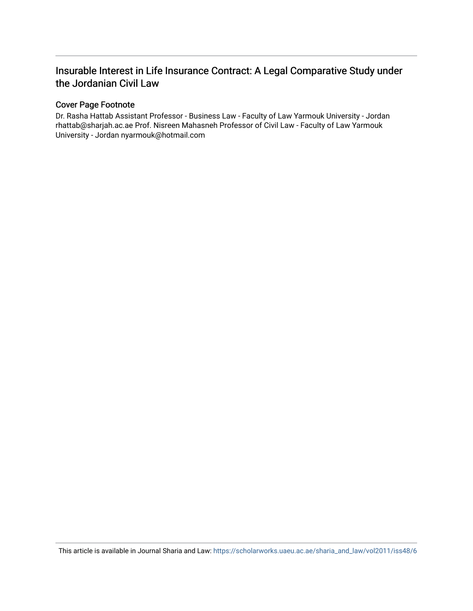### Insurable Interest in Life Insurance Contract: A Legal Comparative Study under the Jordanian Civil Law

#### Cover Page Footnote

Dr. Rasha Hattab Assistant Professor - Business Law - Faculty of Law Yarmouk University - Jordan rhattab@sharjah.ac.ae Prof. Nisreen Mahasneh Professor of Civil Law - Faculty of Law Yarmouk University - Jordan nyarmouk@hotmail.com

This article is available in Journal Sharia and Law: [https://scholarworks.uaeu.ac.ae/sharia\\_and\\_law/vol2011/iss48/6](https://scholarworks.uaeu.ac.ae/sharia_and_law/vol2011/iss48/6)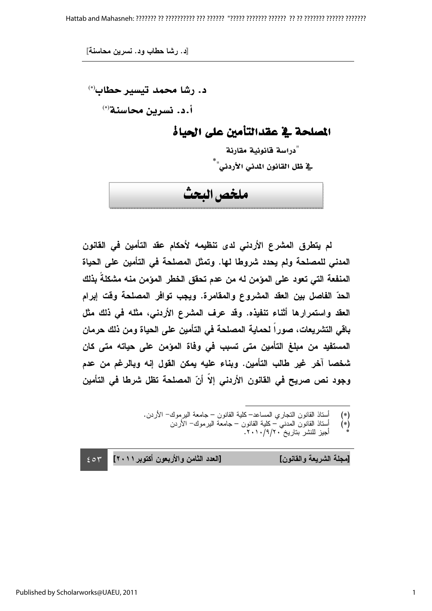د. رشا محمد تيسير حطاب'\* أ.د. نسرين محاسنة<sup>(∗)</sup>

المصلحة في عقدالتأمين على الحياة

"دراسة قانونية مقارنة .<br>ية ظل القانون المدني الأردني'<sup>"</sup>  $\overline{a}$ ملخص البحث

لم يتطرق المشرع الأردنى لدى تنظيمه لأحكام عقد التأمين في القانون المدنى للمصلحة ولم يحدد شروطا لها. وتمثل المصلحة فى التأمين على الحياة المنفعة التي تعود على المؤمن له من عدم تحقق الخطر المؤمن منه مشكلة بذلك الحدّ الفاصل بين العقد المشروع والمقامرة. ويجب توافر المصلحة وقت إبرام العقد واستمرارها أثناء تنفيذه. وقد عرف المشرع الأردنى، مثله فى ذلك مثل باقي التشريعات، صورا لحماية المصلحة في التأمين على الحياة ومن ذلك حرمان المستفيد من مبلغ التأمين مت*ى* تسبب ف*ى* وفاة المؤمن على حياته مت*ى* كان شخصا آخر غير طالب التأمين. وبناء عليه يمكن القول إنه وبالرغم من عدم وجود نص صريح في القانون الأردني إلا أنّ المصلحة تظل شرطا في التأمين

- $\overline{a}$ (\*) أسناذ القانون النجاري المساعد−كلية القانون − جامعة البرموك− الأردن.
	- (ُ\*) أستاذ القانون المدنيّ كلية القانون جامعة البرموك− الأردن
		- \* أجيز للنشر بتاريخ ٢٠١٠/٩/٢٠.

 $-\epsilon$  or دد الثامن والأربعون أكتوبر ٢٠١١] [مجلة الشريعة والقانون] [العا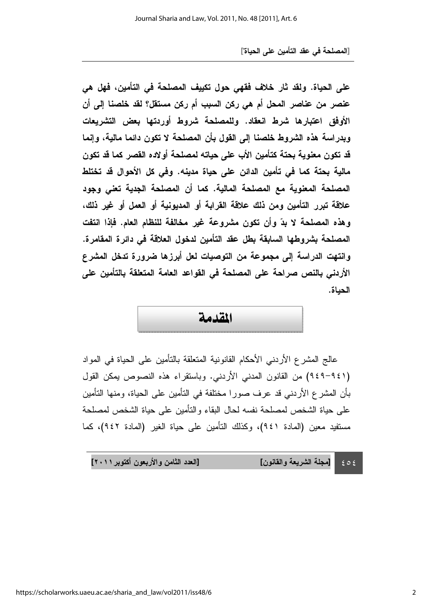على الحياة. ولقد ثار خلاف فقهى حول تكييف المصلحة في التأمين، فهل هي عنصر من عناصر المحل أم هي ركن السبب أم ركن مستقل؟ لقد خلصنا إلى أن الأوفق اعتبارها شرط انعقاد. وللمصلحة شروط أوردتها بعض التشريعات وبدراسة هذه الشروط خلصنا إلى القول بأن المصلحة لا تكون دائما مالية، وإنما قد تكون معنوية بحتة كتأمين الأب على حياته لمصلحة أولاده القصر كما قد تكون مالية بحتة كما في تأمين الدائن على حياة مدينه. وفي كل الأحوال قد تختلط المصلحة المعنوية مع المصلحة المالية. كما أن المصلحة الجدية تعنى وجود علاقة تبرر التأمين ومن ذلك علاقة القرابة أو المديونية أو العمل أو غير ذلك، وهذه المصلحة لا بدّ وأن تكون مشروعة غير مخالفة للنظام العام. فإذا انتفت المصلحة بشروطها السابقة بطل عقد التأمين لدخول العلاقة فى دائرة المقامرة. وانتهت الدراسة إلى مجموعة من التوصيات لعل أبرزها ضرورة تدخل المشرع الأردنى بالنص صراحة على المصلحة في القواعد العامة المتعلقة بالتأمين على الحياة.

## المقليمة

عالج المشر ع الأردني الأحكام القانونية المتعلقة بالتأمين على الحياة في المواد ((٩٤٩-٩٤٩) من القانون المدني الأردني. وباستقراء هذه النصوص بمكن القول بأن المشرع الأردني قد عرف صورًا مختلفة في التأمين على الحياة، ومنها التأمين على حياة الشخص لمصلحة نفسه لحال البقاء والنأمين على حياة الشخص لمصلحة مستفيد معين (المادة ٩٤١)، وكذلك التأمين على حياة الغير (المادة ٩٤٢)، كما

 $\epsilon \circ \epsilon$ دد الثامن والأربعون أكتوبر ٢٠١١] [مجلة الشريعة والقانون] [الع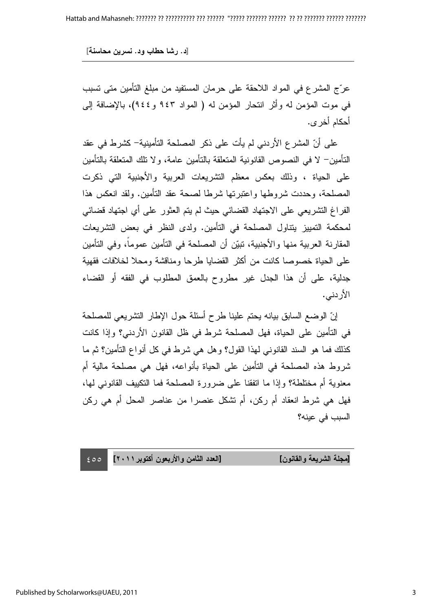عرّج المشرع في المواد اللاحقة على حرمان المستفيد من مبلغ التأمين متى تسبب في موت المؤمن له وأثر انتحار المؤمن له ( المواد ٩٤٣ و ٩٤٤)، بالإضافة إلى أحكام أخر ي.

على أنّ المشرع الأردني لم يأت على ذكر المصلحة التأمينية– كشرط في عقد النَّامين— لا في النصوص القانونية المتعلُّقة بالتَّامين عامة، ولا نلك المتعلِّقة بالتَّامين على الحياة ، وذلك بعكس معظم التشريعات العربية والأجنبية التي ذكرت المصلحة، وحددت شروطها واعتبرتها شرطا لصحة عقد التأمين. ولقد انعكس هذا الفر اغ التشريعي على الاجتهاد القضائي حيث لم يتم العثور على أي اجتهاد قضائي لمحكمة التمييز يتتاول المصلحة في التأمين. ولدى النظر في بعض التشريعات المقارنة العربية منها والأجنبية، تبيّن أن المصلحة في التأمين عموما، وفي التأمين على الحياة خصوصـا كـانت من اكثر القضـايا طرحـا ومناقشة ومحلا لخلافات فقهية جدلية، على أن هذا الجدل غير مطروح بالعمق المطلوب في الفقه أو القضاء الأردني.

إنّ الوضع السابق بيانه يحتم علينا طرح أسئلة حول الإطار التشريعي للمصلحة في التأمين على الحياة، فهل المصلحة شرط في ظل القانون الأردني؟ وإذا كانت كذلك فما هو السند القانوني لمهذا القول؟ وهل هي شرط في كل أنواع التأمين؟ ثم ما شروط هذه المصلحة في التأمين على الحياة بأنواعه، فهل هي مصلحة مالية أم معنوية أم مختلطة؟ وإذا ما انفقنا على ضرورة المصلحة فما النكبيف القانوني لمها، فهل هي شرط انعقاد أم ركن، أم تشكل عنصر ا من عناصر المحل أم هي ركن السبب في عبنه؟

 $\epsilon$ 00 دد الثامن والأربعون أكتوبر ٢٠١١] [مجلة الشريعة والقانون] [العا

Published by Scholarworks@UAEU, 2011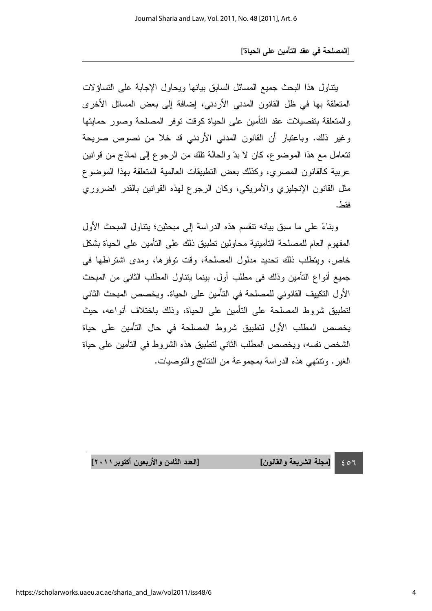بتناول هذا البحث جميع المسائل السابق بيانها ويحاول الإجابة على التساؤلات المتعلقة بها في ظل القانون المدني الأردني، إضافة إلى بعض المسائل الأخرى والمتعلقة بتفصيلات عقد التأمين على الحياة كوقت نوفر المصلحة وصور حمايتها وغير ذلك. وباعتبار أن القانون المدني الأردني قد خلا من نصوص صريحة نتعامل مع هذا الموضوع، كان لا بدّ والحالة نلك من الرجوع إلى نماذج من قوانين عربية كالقانون المصري، وكذلك بعض النطبيقات العالمية المتعلقة بهذا الموضوع مثل القانون الإنجليزي والأمريكي، وكان الرجوع لمهذه القوانين بالقدر الضروري فقط . من المستخدم العالمية العالمية العالمية العالمية العالمية العالمية العالمية العالمية العالمية العالمية ال<br>والمستخدم العالمية العالمية العالمية العالمية العالمية العالمية العالمية العالمية العالمية العالمية العالمية ا

وبناءً على ما سبق بيانه نتقسم هذه الدراسة إلى مبحثين؛ بنتاول المبحث الأول المفهوم العام للمصلحة التأمينية محاولين تطبيق ذلك على التأمين على الحياة بشكل خاص، ويتطلب ذلك تحديد مدلول المصلحة، وقت توفرها، ومدى اشتراطها في جميع أنواع النامين وذلك في مطلب أول. بينما يتناول المطلب الثاني من المبحث الأول التكييف القانوني للمصلحة في التأمين على الحياة. ويخصص المبحث الثاني لتطبيق شروط المصلحة على التأمين على الحياة، وذلك باختلاف أنواعه، حيث يخصص المطلب الأول لنطبيق شروط المصلحة في حال النامين على حياة الشخص نفسه، ويخصص المطلب الثاني لنطبيق هذه الشروط في النامين على حياة الغير . ونتنهي هذه الدراسة بمجموعة من النتائج والنوصبات.

> $\epsilon$  or [مجلة الشريعة والقانون] [الع

دد الثامن والأربعون أكتوبر ٢٠١١]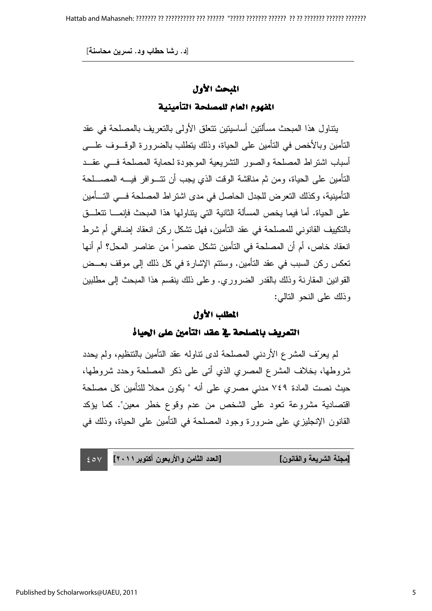# المبحث الأول

### المفهوم العام للمصلحة التأمينية

بتناول هذا المبحث مسالنين اساسينين نتعلق الاولى بالنعريف بالمصلحة في عقد النَّامين وبالأخص في النَّامين على الحياة، وذلك يتطلَّب بالضرورة الوقـــوف علــــى أسباب اشتراط المصلحة والصور التشريعية الموجودة لحماية المصلحة فسي عقــد النَّامين على الحياة، ومن ثم مناقشة الوقت الذي يجب أن نتـــوافر فيــــه المصــــلحة التأمينية، وكذلك التعرض للجدل الحاصل في مدى اشتراط المصلحة فـــي التــــأمين على الحياة. أما فيما يخص المسألة الثانية التي يتناولها هذا المبحث فإنمـــا تتعلَّـــق بالنكييف القانوني للمصلحة في عقد التأمين، فهل نشكل ركن انعقاد إضافي أم شرط انعقاد خاص، أم أن المصلحة في التأمين تشكل عنصراً من عناصر المحل؟ أم أنها تعكس ركن السبب في عقد التأمين. وسنتم الإشارة في كل ذلك إلى موقف بعــض القوانين المقارنة وذلك بالقدر الضروري. وعلى ذلك بنقسم هذا المبحث إلى مطلبين وذلك على النحو النالي:

#### المطلب الأول الأول الأولالمطلب الأول

التعريف بالمصلحة في عقد التأمين على الحياة

لم يعرّف المشرع الأردنـي المصلحة لدى نتـاولـه عقد النّامين بالنّنظيم، ولم يحدد ثىروطها، بخلاف المشرع المصري الذي أتى على ذكر المصلحة وحدد شروطها، حيث نصت المادة ٧٤٩ مدني مصري على أنه " يكون محلا للتأمين كل مصلحة اقتصادية مشروعة تعود على الشخص من عدم وقوع خطر معين". كما بؤكد القانون الإنجليزي على ضرورة وجود المصلحة في النأمين على الحياة، وذلك في

 $\epsilon$  ov دد الثامن والأربعون أكتوبر ٢٠١١] [مجلة الشريعة والقانون] [العا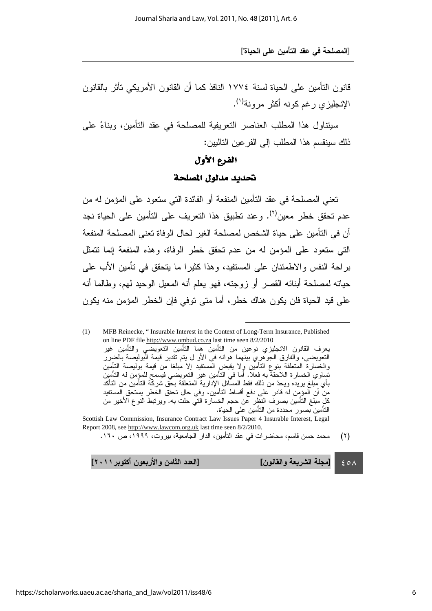قانون التأمين على الحياة لسنة ١٧٧٤ النافذ كما أن القانون الأمريكي تأثر بالقانون الإنجليزي رغم كونه أكثر مرونة<sup>(י)</sup>.

سيتناول هذا المطلب العناصر النعريفية للمصلحة في عقد النامين، وبناءً على ذلك سينقسم هذا المطلب إلى الفر عين التالبين:

#### الفرع الأول

#### تحديد مدلول المصلحة

تعني المصلحة في عقد التأمين المنفعة أو الفائدة التي ستعود على المؤمن له من عدم تحقق خطر معين<sup>(٢)</sup>. وعند تطبيق هذا التعريف على التأمين على الحياة نجد أن في التأمين على حياة الشخص لمصلحة الغير لحال الوفاة تعني المصلحة المنفعة التي ستعود على المؤمن له من عدم تحقق خطر الوفاة، وهذه المنفعة إنما نتمثل براحة النفس والاطمئنان على المستفيد، وهذا كثيرًا ما يتحقق في تأمين الأب على حياته لمصلحة أبنائه القصر أو زوجته، فهو يعلم أنه المعيل الوحيد لمهم، وطالما أنه على قيد الحياة فلن يكون هناك خطر ، اما متى توفي فإن الخطر المؤمن منه يكون

(1) MFB Reinecke, " Insurable Interest in the Context of Long-Term Insurance, Published on line PDF file http://www.ombud.co.za last time seen 8/2/2010 يعرف القانون الانجليزي نوعين من النامين هما النامين النعويضـي والنامين غير التعويضي، والفارق الجوهريِ بينهما هوانه في الاو ل يتم تقدير قيمة البوليصة بالضرر والخسارة المتعلقة بنوع التامين وِلا يقبض المستفيد إلا مبلغا من قيمة بوليصة التامين نساوي الخسارة اللاحقة به فعلا. اما في النامين غير النعويضي فيسمح للمؤمن له النامين باي مبلغ بريده ويحدُّ من ذلك فقطِّ المسائل الإدارية المنعلقة بـحق شركة النامين من الناكد من ان المؤمِن له قادر على دفع اقساط النامين، وفي حال تحقق الخطر يستحق ِالمستفيد كلِ مبلغ النامين بصرف النظرِ عن حجم الخسارة التي حلت به. ويرتبط النوع الاخير من النامين بصور محددة من النامين على الحياة.

Scottish Law Commission, Insurance Contract Law Issues Paper 4 Insurable Interest, Legal Report 2008, see http://www.lawcom.org.uk last time seen 8/2/2010.

(۲) محمد حسن قاسم، محاضرات في عقد التامين، الدار الجامعية، بيروت، ۱۹۹۹، ص ۱۲۰. ـ

 $\epsilon$  o  $\wedge$ دد الثامن والأربعون أكتوبر ٢٠١١] [مجلة الشريعة والقانون] [الع

l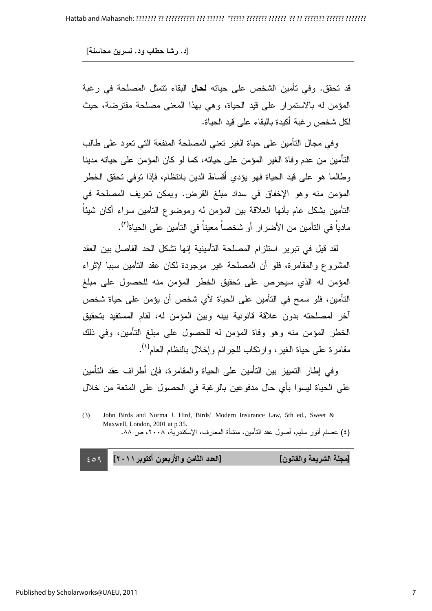قد تحقق. وفي تأمين الشخص على حياته **لحال** البقاء نتمثل المصلحة في رغبة المؤمن له بالاستمرار على قيد الحياة، وهي بهذا المعنى مصلحة مفترضة، حيث لكل شخص ر غبة أكيدة بالبقاء على قيد الحياة.

وفي مجال النامين على حياة الغير تعني المصلحة المنفعة الني نعود على طالب النَّامين من عدم وفاة الغير المؤمن على حياته، كما لو كان المؤمن على حياته مدينا وطالما هو على قيد الحياة فهو يؤدي اقساط الدين بانتظام، فإذا نوفي تحقق الخطر المؤمن منه وهو الإخفاق في سداد مبلغ القرض. ويمكن تعريف المصلحة في التأمين بشكل عام بأنها العلاقة بين المؤمن له وموضوع التأمين سواء أكان شيئا مادياً في النأمين من الأضرار أو شخصاً معيناً في النأمين على الحياة<sup>(٣)</sup> .

> لقد قيل في نبرير استلزام المصلحة التأمينية إنها نشكل الحد الفاصل بين العقد المشروع والمقامرة، فلو أن المصلحة غير موجودة لكان عقد النأمين سببا لإثراء المؤمن له الذي سيحرص على تحقيق الخطر المؤمن منه للحصول على مبلغ التأمين، فلو سمح في التأمين على الحياة لأي شخص أن يؤمن على حياة شخص اخر لمصلحته بدون علاقة قانونية بينه وبين المؤمن له، لقام المستفيد بتحقيق الخطر المؤمن منه وهو وفاة المؤمن له للحصول على مبلغ التأمين، وفي ذلك مقامرة على حياة الغير ، وارتكاب للجرائم وإخلال بالنظام العام<sup>(؛)</sup> .

> > وفي إطار النمييز بين النأمين على الحياة والمقامرة، فإن أطراف عقد النامين على الحياة ليسوا بأي حال مدفوعين بالرغبة في الحصول على المتعة من خلال

 $\overline{a}$ 

 $\epsilon$  09 دد الثامن والأربعون أكتوبر ٢٠١١] [مجلة الشريعة والقانون] [العا

<sup>(3)</sup> John Birds and Norma J. Hird, Birds' Modern Insurance Law, 5th ed., Sweet & Maxwell, London, 2001 at p 35. (٤) عصام أنور سليم، أصول عقد التأمين، منشأة المعارف، الإسكندرية، ٢٠٠٨، ص ٨٨.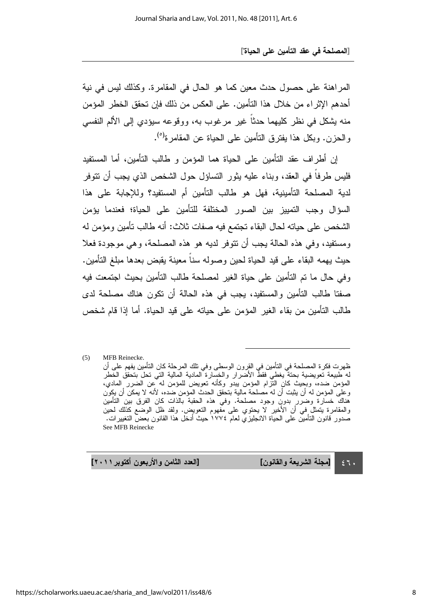المراهنة على حصول حدث معين كما هو الحال في المقامرة. وكذلك ليس في نية أحدهم الإثر اء من خلال هذا التأمين. على العكس من ذلك فإن تحقق الخطر المؤمن منه يشكل في نظر كليهما حدثًا غير مرغوب به، ووقوعه سيؤدي إلى الألم النفسي والحزن. وبكل هذا يفترق النأمين على الحياة عن المقامرة<sup>(٥)</sup> .

> إن أطراف عقد النامين على الحياة هما المؤمن و طالب النامين، أما المستفيد فليس طرفا في العقد، وبناء عليه بثور التساؤل حول الشخص الذي يجب أن نتوفر لدية المصلحة التأمينية، فهل هو طالب التأمين أم المستفيد؟ وللإجابة على هذا السؤال وجب التمييز بين الصور المختلفة للتامين على الحياة؛ فعندما يؤمن الشخص على حياته لحال البقاء تجتمع فيه صفات ثلاث: أنه طالب تأمين ومؤمن له ومستفيد، وفي هذه الحالة يجب أن نتوفر لديه هو هذه المصلحة، وهي موجودة فعلا حيث بهمه البقاء على قيد الحياة لحين وصوله سنا معينة يقبض بعدها مبلغ النامين. وفي حال ما تم التأمين على حياة الغير لمصلحة طالب التأمين بحيث اجتمعت فيه صفتا طالب التأمين والمستفيد، يجب في هذه الحالة أن نكون هناك مصلحة لدى طالب التأمين من بقاء الغير المؤمن على حياته على قيد الحياة. أما إذا قام شخص

> (5) MFB Reinecke. ظهرت فكرة المصلحة في التامين في القِرون الوسطى وفي تلك المرحلة كان التامين بفهم على ان له طبيعة تعويضية بحتة يغطي فقط الاضرار والخسارة المادية المالية التي تحل بتحقق الخطر المؤمن ضده، وبحِيث كانِ النّزام المؤمن بيدو وكانه تعويض للمؤمن له عِن الضرر ِالمادي، وعلى المؤمن له ان يثبت ان له مصلحة مالية بتحقق الحدث المؤمن ضده، لانه لا يمكن ان يكون سي حسارة وضرر بدون وجود مصلحة. وفي هذه الحقبة بالذات كان الفرق بين التأمين والمقامرة يتمثّل في ان الاخير لا يحتوي على مفهوم النعويض. ولقد ظل الوضع كذلك لحين<br>صدور قانون التأمين على الحياة الانجليزي لعام ١٧٧٤ حيث أدخل هذا القانون بعض التغييرات. See MFB Reinecke

l

دد الثامن والأربعون أكتوبر ٢٠١١]

 $\epsilon$ ٦. [مجلة الشريعة والقانون] [الع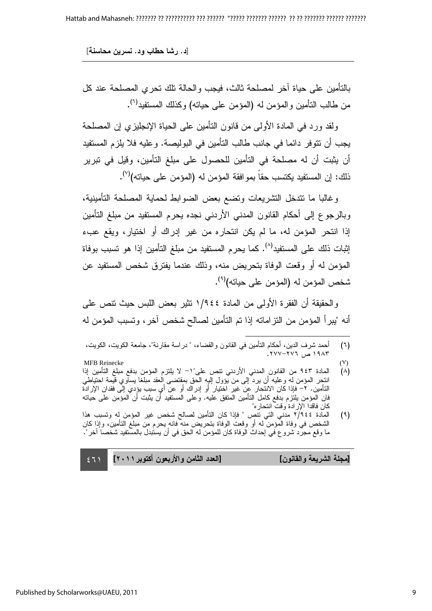بالنامين على حياة اخر لمصلحة ثالث، فيجب والحالة نلك نحري المصلحة عند كل من طالب النأمين والمؤمن له (المؤمن على حيانه) وكذلك المستفيد<sup>(٦)</sup> .

ولقد ورد في المادة الأولى من قانون التأمين على الحياة الإنجليزي إن المصلحة يجب أن نتوفر دائما في جانب طالب التأمين في البوليصة. وعليه فلا يلزم المستفيد أن يثبت أن له مصلحة في التأمين للحصول على مبلغ التأمين، وقيل في تبرير ذلك: إن المستفيد يكتسب حقاً بموافقة المؤمن له (المؤمن على حياته)<sup>(٧)</sup>.

وغالبا ما نتدخل النشريعات ونضىع بعض الضوابط لحماية المصلحة النأمينية، وبالرجوع إلى أحكام القانون المدني الأردني نجده يحرم المستفيد من مبلغ التأمين إذا انتحر المؤمن له، ما لم يكن انتحاره من غير إدراك أو اختيار، ويقع عبء إثبات ذلك على المستفيد<sup>(٨)</sup>. كما يحرم المستفيد من مبلغ التأمين إذا هو تسبب بوفاة المؤمن له او وقعت الوفاة بتحريض منه، وذلك عندما يفترق شخص المستفيد عن شخص المؤمن له (المؤمن على حياته)<sup>(٩)</sup>. .

والحقيقة أن الفقرة الأولى من المادة ١/٩٤٤ نثير بعض اللبس حيث نتص على أنه "يبرأ المؤمن من النزاماته إذا تم التأمين لصالح شخص اخر ، وتسبب المؤمن له

l

- (٧)<br>(٨) المادة ٩٤٣ من القانون المدنى الأريني نتص علي"١– لا يلتزم المؤمن بدفع مبلغ التأمين إذا (٨) المادة ٩٤٣ من القانون المدني الاردني نتص على"١– لا يلتزم المؤمن بدفع مبلغ التامين إذا انتحر المؤمن له وعليه ان يرد إلى من يؤول إليه الحق بمقتضى العقد مبلغا يساوي قيمة احتياطي التأمين. ٢– فإذا كان الانتحار عن غير اختيار أو إدراك أو عن أي سبب يؤدي إلى فقدان الإرادة فان المؤمن بلتزم بدفع كامل التأمين المتفق عليه. وعلى المستفيد أن يثبت أن المؤمن على حياته كان فاقدا الإرادة وقت انتحار ه"
- (٩) المادة ٢/٩٤٤ مدني التي نتص " فإذا كان التأمين لصالح شخص غير المؤمن له وتسبب هذا الشخص في وفاة المؤمن له أو وقعت الوفاة بتحريض منه فانه يحرم من مبلغ التأمين، وإذا كان ما وقع مجرد شروع في إحداث الوفاة كان للمؤمن له الحق في أن يستبدل بالمستفيد شخصا اخر ".

| [العدد الثامن والأربعون أكتوبر ٢٠١١    ٢٠١ | [مجلة الشريعة والقانون] |
|--------------------------------------------|-------------------------|
|                                            |                         |

<sup>(</sup>٦) احمد شرف الدين، احكام النامين في القانون والقضاء، " دراسة مقارنة"، جامعة الكويت، الكويت،  $\cdot$  19۸۳ ص $\cdot$  7۷۲–۲۷۷.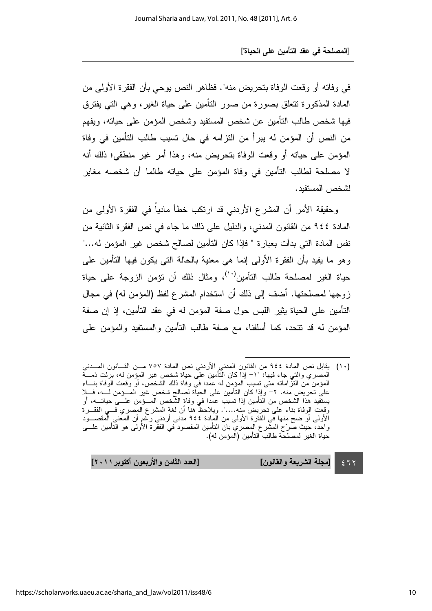في وفاته أو وقعت الوفاة بتحريض منه". فظاهر النص يوحي بأن الفقرة الأولى من المادة المذكورة نتعلق بصورة من صور النامين على حياة الغير ، وهي الني يفترق فيها شخص طالب التأمين عن شخص المستفيد وشخص المؤمن على حياته، ويفهم من النص أن المؤمن له ببرأ من النزامه في حال نسبب طالب التأمين في وفاة المؤمن على حياته أو وقعت الوفاة بتحريض منه، وهذا أمر غير منطقي؛ ذلك أنه لا مصلحة لطالب التأمين في وفاة المؤمن على حياته طالما أن شخصه مغاير لشخص المستفد.

وحقيقة الأمر أن المشرع الأردني قد ارتكب خطأ ماديا في الفقرة الأولى من المادة ٤٤٤ من القانون المدني، والدليل على ذلك ما جاء في نص الفقرة الثانية من نفس المادة التي بدأت بعبارة " فإذا كان التأمين لصالح شخص غير المؤمن له..." وهو ما يفيد بأن الفقرة الأولى إنما هي معنية بالحالة التي يكون فيها النأمين على حياة الغير لمصلحة طالب النأمين<sup>(١٠)</sup>، ومثال ذلك أن نؤمن الزوجة على حياة زوجها لمصلحتها. أضف إلى ذلك أن استخدام المشرع لفظ (المؤمن له) في مجال التأمين على الحياة يثير اللبس حول صفة المؤمن له في عقد التأمين، إذ إن صفة المؤمن له قد نتحد، كما أسلفنا، مع صفة طالب النامين والمستفيد والمؤمن على

l

 $\epsilon$  77 دد الثامن والأربعون أكتوبر ٢٠١١] [مجلة الشريعة والقانون] [الع

<sup>(</sup>١٠) يقابل نص المادة ٩٤٤ من القانون المدني الاردني نص المادة ٧٥٧ مــن القـــانون المـــدني المصري والتي جاء فيها: "١– إذا كان التامين على حياة شخص غير المؤمن له، برئت ذمــــة المؤمن من النز امانه متى تسبب المؤمِن له عمدًا في وفاة ذلك الشخص، او وقعت الوفاة بنـــاء على تحريض منه. ٢- وإذا كان التامين على الحياة لصالح شخص غير المـــؤمن لـــه، فـــلا يستفيد هذا الشخص من النامين إذا تسبب عمدا في وفاة الشخص المــــؤمن علــــى حياتــــه، او وقعت الوفاة بناء على تحريض منه....". ويلاحظ هنا ان لغة المشرع المصري فــي الفقـــرة<br>الأولـي أو ضح منها في الفقرة الأولـي من المادة ٤٤٤ مدني أردني رغم أن المعنـي المقصــــود واحد، حيث صرّح الممشر ع الِمصري بان النامين المقصود في الفقرة الاولى هو النامين علــــى حياة الغير لمصلحة طالب التامين (المؤمن له).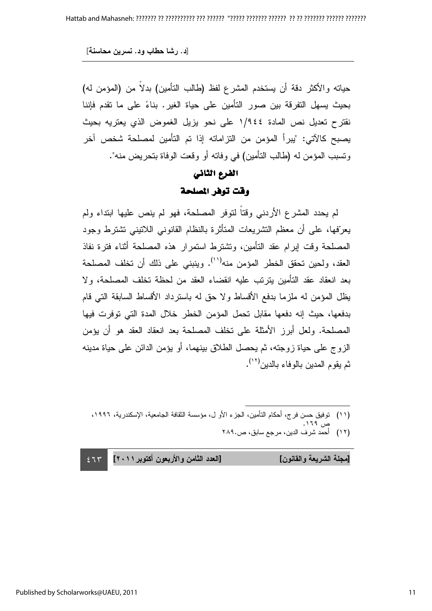حياته والأكثر دقة أن يستخدم المشرع لفظ (طالب التأمين) بدلا من (المؤمن له) بحيث يسهل التفرقة بين صور التامين على حياة الغير. بناءً على ما نقدم فإننا نقترح تعديل نص المادة ١/٩٤٤ على نحو يزيل الغموض الذي يعتريه بحيث يصبح كالآتي: "يبرأ المؤمن من التزاماته إذا تم التأمين لمصلحة شخص آخر وتسبب المؤمن له (طالب التأمين) في وفاته أو وقعت الوفاة بتحريض منه".

## الفرع الثاني وقت توفر المصلحة

لم يحدد المشرع الأردني وقتا لتوفر المصلحة، فهو لم ينص عليها ابتداء ولم يعرّفها، على أن معظم التشريعات المناثرة بالنظام القانونـي اللاننيني تشترط وجود المصلحة وقت إبرام عقد النامين، ونشترط استمرار هذه المصلحة أثناء فترة نفاذ العقد، ولحين تحقق الخطر المؤمن منه<sup>(\'')</sup>. وينبني على ذلك أن تخلف المصلحة بعد انعقاد عقد التامين يترتب عليه انقضاء العقد من لحظة تخلف المصلحة، ولا يظل المؤمن له ملزما بدفع الأقساط ولا حق له باسترداد الأقساط السابقة التي قام بدفعها، حيث إنه دفعها مقابل تحمل المؤمن الخطر خلال المدة التي توفرت فيها المصلحة. ولعل أبرز الأمثلة على تخلف المصلحة بعد انعقاد العقد هو أن يؤمن الزوج على حياة زوجته، ثم يحصل الطلاق بينهما، أو يؤمن الدائن على حياة مدينه ثم يقوم المدين بالوفاء بالدين<sup>(١٢)</sup>.

 $\overline{a}$ (١١) توفيق حسن فر ج، أحكام التأمين، الجزء الأو ل، مؤسسة الثقافة الجامعية، الإسكندرية، ١٩٩٦، ' ص ۱٦۹.

(١٢) أحمد شرف الدين، مرجع سابق، ص.٢٨٩

[مجلة الشريعة والقانون] [العا

 $\leq 71$ دد الثامن والأربعون أكتوبر ٢٠١١]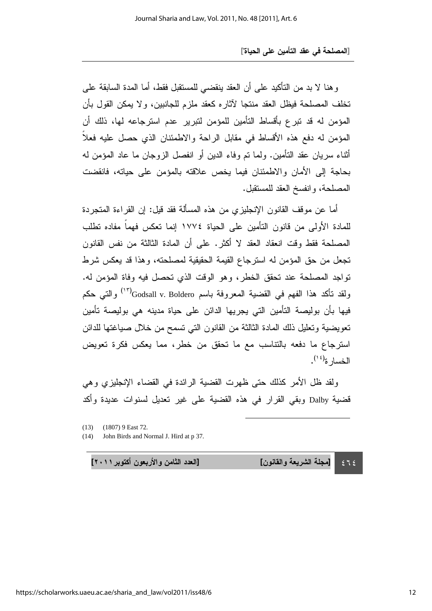وهنا لا بد من الناكيد على أن العقد ينقضـي للمستقبل فقط، أما المدة السابقة علـى تخلف المصلحة فيظل العقد منتجا لاثاره كعقد ملزم للجانبين، ولا يمكن القول بأن المؤمن له قد نبرع بأقساط التأمين للمؤمن لنبرير عدم استرجاعه لها، ذلك أن المؤمن له دفع هذه الأقساط في مقابل الراحة والاطمئنان الذي حصل عليه فعلا أثناء سريان عقد النامين. ولما تم وفاء الدين أو انفصل الزوجان ما عاد المؤمن له بحاجة إلى الأمان والاطمئنان فيما يخص علاقته بالمؤمن على حياته، فانقضت المصلحة، وانفسخ العقد للمستقبل.

أما عن موقف القانون الإنجليزي من هذه المسألة فقد قيل: إن القراءة المتجردة للمادة الأولى من قانون النأمين على الحياة ١٧٧٤ إنما نعكس فهما مفاده نطلب المصلحة فقط وقت انعقاد العقد لا أكثر. على أن المادة الثالثة من نفس القانون تجعل من حق المؤمن له استرجاع القيمة الحقيقية لمصلحته، وهذا قد يعكس شرط تواجد المصلحة عند تحقق الخطر، وهو الوقت الذي تحصل فيه وفاة المؤمن له. ولقد تأكد هذا الفهم في القضية المعروفة باسم Godsall v. Boldero'<sup>(١٣)</sup> والتي حكم فيها بأن بوليصة النأمين الني يجريها الدائن على حياة مدينه هي بوليصة تأمين نعويضية ونعليل ذلك المادة الثالثة من القانون النبي نسمح من خلال صبياغتها للدائن استرجاع ما دفعه بالتناسب مع ما تحقق من خطر، مما يعكس فكرة تعويض الخسار ة<sup>(١٤</sup>).

ولقد ظل الأمر كذلك حتى ظهرت القضية الرائدة في القضاء الإنجليزي وهي قضية Dalby وبقي القرار في هذه القضية على غير تعديل لسنوات عديدة واكد

l

(14) John Birds and Normal J. Hird at p 37.

دد الثامن والأربعون أكتوبر ٢٠١١]

 $575$ [مجلة الشريعة والقانون] [الع

<sup>(13) (1807) 9</sup> East 72.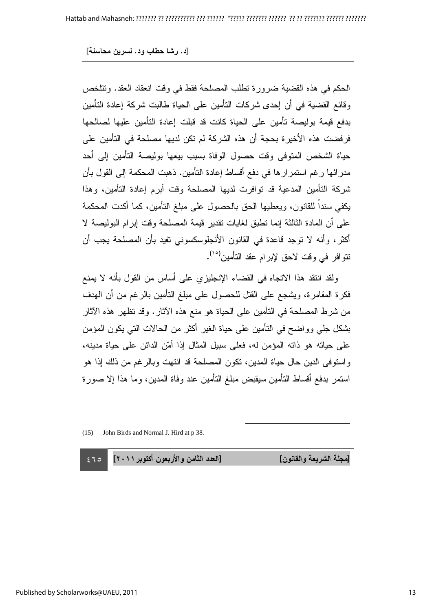الحكم في هذه القضية ضرورة تطلب المصلحة فقط في وقت انعقاد العقد. وتتلخص وقائع القضية في أن إحدى شركات التأمين على الحياة طالبت شركة إعادة التأمين بدفع قيمة بوليصة تأمين على الحياة كانت قد قبلت إعادة التأمين عليها لصىالحها فرِ فضت هذه الأخير ة بحجة أن هذه الشركة لم نكن لديها مصلحة في التأمين على حياة الشخص المتوفى وقت حصول الوفاة بسبب بيعها بوليصة التأمين إلى أحد مدر ائـها رغم استمر ار ها في دفع اقساط إعادة التأمين. ذهبت المحكمة إلى القول بأن شركة التأمين المدعية قد توافرت لديها المصلحة وقت أبرم إعادة التأمين، وهذا يكفي سندا للقانون، ويعطيها الحق بالحصول على مبلغ النأمين، كما أكدت المحكمة علَّـى أن المُدَّة الثالثة إنما نطَّبق لغايات نقدير قيمة المصلحة وقت إبرام البوليصة لا اكثر ، وأنه لا توجد قاعدة في القانون الأنجلوسكسوني تفيد بأن المصلحة يجب أن نتوافر في وقت لاحق لإبرام عقد التأمين<sup>(١٥)</sup>.

ولقد انتقد هذا الاتجاه في القضاء الإنجليزي على أساس من القول بأنه لا يمنع فكرة المقامرة، ويشجع على القتل للحصول على مبلغ النامين بالرغم من أن الـهدف من شرط المصلحة في التأمين على الحياة هو منع هذه الاثار . وقد نظهر هذه الاثار بشكل جلي وواضح في التأمين على حياة الغير اكثر من الحالات التي يكون المؤمن على حياته هو ذاته المؤمن له، فعلى سبيل المثال إذا أمّن الدائن على حياة مدينه، واستوفى الدين حال حياة المدين، نكون المصلحة قد انتهت وبالرغم من ذلك إذا هو استمر بدفع أقساط التأمين سيقبض مبلغ التأمين عند وفاة المدين، وما هذا إلا صورة

 $\overline{a}$ 

(15) John Birds and Normal J. Hird at p 38.

 $\leq 70$ دد الثامن والأربعون أكتوبر ٢٠١١]

[مجلة الشريعة والقانون] [العا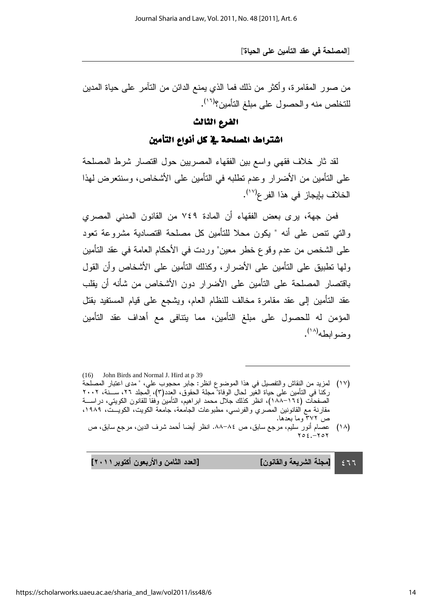من صـور المقامرة، واكثر من ذلك فمـا الذي يمنـع الدائن من الننامر علـى حياة المدين للتخلص منه والحصول على مبلغ التأمين؟<sup>(١٦)</sup>.

#### الفرع الثالث

اشتراط المصلحة في كل أنواع التأمين

لقد ثار خلاف فقهي واسع بين الفقهاء المصريين حول اقتصار شرط المصلحة على التأمين من الأضرار وعدم تطلبه في التأمين على الأشخاص، وسنتعرض لمهذا الخلاف بإيجاز في هذا الفر ع<sup>(١٧)</sup>.

فمن جهة، يرى بعض الفقهاء أن المادة ٧٤٩ من القانون المدني المصري والتي نتص على أنه " يكون محلا للتأمين كل مصلحة اقتصادية مشروعة تعود على الشخص من عدم وقوع خطر معين" وردت في الأحكام العامة في عقد التأمين ولَّها نطَّبيق على النَّامين على الأضرار، وكذلك النَّامين على الأشخاص وأن القول باقتصار المصلحة على التأمين على الأضرار دون الأشخاص من شأنه أن يقلب عقد التامين إلى عقد مقامرة مخالف للنظام العام، ويشجع على قيام المستفيد بقتل المؤمن له للحصول على مبلغ التأمين، مما يتنافى مع أهداف عقد التأمين وضوابطه<sup>(۱۸</sup>).

l

دد الثامن والأربعون أكتوبر ٢٠١١] [مجلة الشريعة والقانون] [الع

 $\epsilon$  11

<sup>(16)</sup> John Birds and Normal J. Hird at p 39

<sup>(</sup>١٧) لمزيد من النقاش والنفصيل في هذا الموضوع انظر: جابر محجوب علي، " مدى اعتبار المصلحة ركنا في النامين على حياة الغير لحال الوفاة" مجلة الحقوق، العدد(٢)، إلمجلد ٢٦، ســـنة، ٢٠٠٢ الصفحات (١٦٤–١٨٨)، انظر كذلك جلال محمد ابر اهيم، النامين وفقا للقانون الكويتي، در اســــة مقارنة مع القانونين المصري والفرنسي، مطبوعات الجامعة، جامعة الكويت، الكويـــت، ١٩٨٩، ص ٣٧٢ وما بعدها.

<sup>(</sup>۱۸) عصـام انور سليم، مرجع سابق، ص ۸٤–٨٨. انظر ايضـا احمد شرف الدين، مرجع سابق، ص  $\forall \circ \epsilon$  .  $-\forall \circ \forall$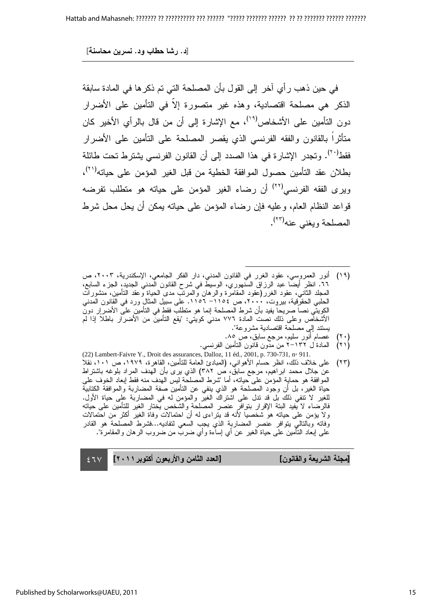في حين ذهب ر أي اخر إلى القول بان المصلحة التي تم ذكر ها في المادة سابقة الذكر هي مصلحة اقتصادية، وهذه غير متصورة إلا في التأمين على الأضرار دون النأمين على الأشخاص<sup>(١٩)</sup>، مع الإشارة إلى أن من قال بالرأي الأخير كان متاثرًا بالقانون والفقه الفرنسي الذي يقصر المصلحة على التأمين على الأضرار فقط<sup>(٢٠)</sup>. وتجدر الإشارة في هذا الصدد إلى أن القانون الفرنسي يشترط تحت طائلة بطلان عقد التأمين حصول الموافقة الخطية من قبل الغير المؤمن على حياته<sup>(٢١)</sup>، ويرى الفقه الفرنسي<sup>(٢٢)</sup> أن رضاء الغير المؤمن على حياته هو منطلب نفرضه قواعد النظام العام، وعليه فإن رضاء المؤمن على حياته يمكن أن يحل محل شرط المصلحة ويغني عنه<sup>(٢٣)</sup>.

- l (١٩) انور العمروِسي، عقود الغرر في القانون المدني، دار الفكر الجامعي، الإسكندرية، ٢٠٠٣، ص ٦٦. انظر ايضـا عبد الرزاق السنهوري، الوسيط في شرح القانون المدنـي الجديد، الـجزء السابع، المعلد الثاني، عقود الغرر(عقود المقامرة والرهان والمرتب مدى الحياة وعقد النامين، منشورات الحلبي الحقوقِية، بيروِت، ٢٠٠٠، ص ١١٥٤– ١١٥٦. على سبيل المثالِ ورد في القانون المدني الكِويتي نصـا صـريحا يفيد بـان شرط المصـلحة إنمـا هو منطلب فقط في النتامين علـى الاضـرار دون الاشخاص وعلى ذلك نصت المادة ٧٧٦ مدني كويتي: "يقع التامين من الاضرار باطلا إذا لم يستند إلبي مصلحة اقتصادية مشروعة".
	- (۲۰) عصـام انور سليم، مرجع سابق، ص ۸۰.
- (۲۱) المادة ل ۱۳۲–۲ من مدون قانون التامین الفرنسی. (22) Lambert-Faivre Y., Droit des assurances, Dalloz, 11 éd., 2001, p. 730-731, n◦ 911.
- (٢٣) على خلاف ذلك، انظر حسام الاهواني، (المبادئ العامة للتامين، القاهرة، ١٩٧٩، ص ١٠١، نقلا عن جلال محمد ابراهيم، مرجع سابق، ص ٣٨٢) الذي يرى بان الهدف المراد بلوغه باشتراط الموافقة هو حمابة المؤمن على حياته، اما "شرط المصلحة ليس الهدف منه فقط إبعاد الخوف على حياة الغير، بل أن وجود المصلحة هو الذي ينفي عن النأمين صفة المضاربة والموافقة الكتابية للغير لا تنفي ذلك بل قد تدل على اشتراك الغير والمؤمن له في المضاربة على حياة الأول. فالرضاء لا يفيد البتة الإقرار بتوافرِ عنصر المصلحة والشخص يختار الغير للتأمين على حياته ولا يؤمن على حياته هو شخصيا لأنه قد يتراءى له أن احتمالات وفاة الغير أكثر من احتمالات وفاته وبالتالـي يتوافر عنصر المضاربة الذي يجب السعي لنفاديه...فشرط المصلحة هو القادر<br>علـي إبـعاد النّـامين علـي حياة الغير عن أي إساءة وأي ضرب من ضروب الرهان والمقامرة".

[مجلة الشريعة والقانون] [العا

 $\sim$  27 $\vee$ دد الثامن والأربعون أكتوبر ٢٠١١]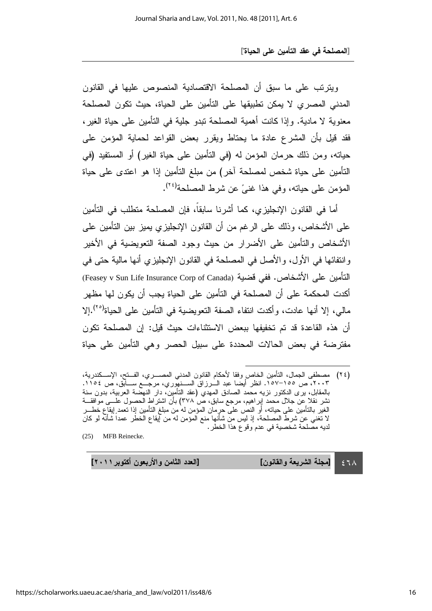ويترنب على ما سبق أن المصلحة الاقتصادية المنصوص عليها في القانون المدني المصري لا يمكن تطبيقها على التأمين على الحياة، حيث تكون المصلحة معنوية لا مادية. وإذا كانت أهمية المصلحة نبدو جلية في النامين على حياة الغير ، فقد قيل بأن المشرع عادة ما يحتاط ويقرر بعض القواعد لحماية المؤمن على حياته، ومن ذلك حرمان المؤمن له (في النأمين على حياة الغير) أو المستفيد (في التأمين على حياة شخص لمصلحة اخر) من مبلغ التأمين إذا هو اعتدى على حياة المؤمن على حياته، وفي هذا غنيً عن شرط المصلحة<sup>(٢٤</sup>).

أما في القانون الإنجليزي، كما أشرنا سابقا، فإن المصلحة منطلب في التأمين على الأشخاص، وذلك على الرغم من أن القانون الإنجليزي يميز بين التأمين على الأشخاص والنامين على الأضرار من حيث وجود الصفة النعويضية في الأخير وانتفائها في الأول، والأصل في المصلحة في القانون الإنجليزي أنها مالية حتى في التأمين على الأشخاص. ففي فضية (Feasey v Sun Life Insurance Corp of Canada) اكدت المحكمة على أن المصلحة في التأمين على الحياة يجب أن يكون لها مظهر مالي، إلا أنها عادت، وأكدت انتفاء الصفة التعويضية في التأمين على الحياة<sup>(٢٥</sup>).إلا أن هذه القاعدة قد تم تخفيفها ببعض الاستثناءات حيث قيل: إن المصلحة تكون مفترضة في بعض الحالات المحددة على سبيل الحصر وهي التأمين على حياة

l

 $\epsilon$  1  $\wedge$ [مجلة الشريعة والقانون] [الع

دد الثامن والأربعون أكتوبر ٢٠١١]

<sup>(</sup>٢٤) مصطفى الجمال، النامين الخاص وفقًا لاحكام القانون المدني المصــــــري، الفـــنح، الإســـكندرية، ٢٠٠٣، ص ١٥٥–١٥٧. انظر ايضا عبد الـــرزاق الســنهوِري، مرجـــع ســـابق، ص ١١٥٤. بالمقابل، برى الدكتور نزيه محمد الصادق المهدي (عقد الناميِن، دار النهضة العربية، بدون سنة نشر نقلاً عِن جلال محمد إِبراهيم، مرجع سابق، ص ٣٧٨) بان اشتراط الحصول علـــي موافقـــة الغير بالتامين على حياته، او النص على حرِمان المؤمن له من مبلغ التامين إذا تعمد ٍايقاع خطــــر لا تغني عن شرط المصلحة، إذ ليس من شانها منع المؤمن له من إيقاع الخطر عمدا شانه لو كان لديه مصلحة شخصية في عدم وقوع هذا الخطر .

<sup>(25)</sup> MFB Reinecke.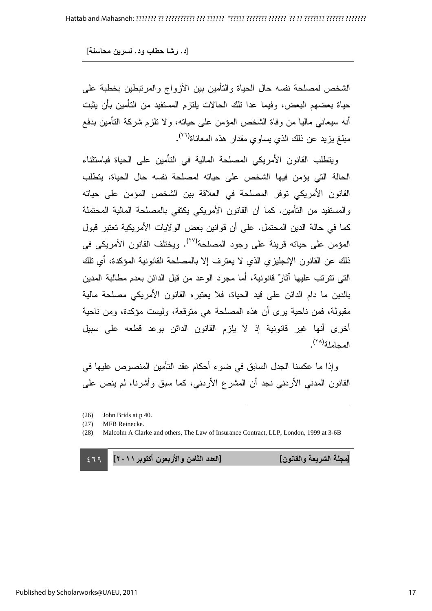الشخص لمصلحة نفسه حال الحياة والنامين بين الأزواج والمرتبطين بخطبة على حياة بعضـهم البعض، وفيمـا عدا تلك الـحالات يلتزم المستفيد من التأمين بأن يثبت أنه سيعانـي ماليا من وفاة الشخص المؤمن علـى حياته، ولا نلزم شركة التأمين بدفع مبلغ يزيد عن ذلك الذي يساوي مقدار هذه المعانـاة<sup>(٢٦)</sup>.

ويتطلب القانون الأمريكي المصلحة المالية في التأمين على الحياة فباستثناء الحالة التي يؤمن فيها الشخص على حياته لمصلحة نفسه حال الحياة، يتطلب القانون الأمريكي توفر المصلحة في العلاقة بين الشخص المؤمن على حياته والمستفيد من التأمين. كما أن القانون الأمريكي يكتفي بالمصلحة المالية المحتملة كما في حالة الدين المحتمل. على أن قوانين بعض الولايات الأمريكية تعتبر قبول المؤمن على حياته قرينة على وجود المصلحة<sup>(٢٧)</sup>. ويختلف القانون الأمريكي في ذلك عن القانون الإنجليزي الذي لا يعترف إلا بالمصلحة القانونية المؤكدة، اي نلك التي تترتب عليها اثارٌ قانونية، أما مجرد الوعد من قبل الدائن بعدم مطالبة المدين بالدين ما دام الدائن على قيد الحياة، فلا يعتبره القانون الأمريكي مصلحة مالية مقبولة، فمن ناحية برى أن هذه المصلحة هي متوقعة، وليست مؤكدة، ومن ناحية أخرى أنَّها غير قانونية إذ لا يلزم القانون الدائن بوعد قطعه على سبيل المجاملة<sup>(٢٨)</sup>.

وإذا ما عكسنا الجدل السابق في ضوء أحكام عقد التأمين المنصوص عليها في القانون المدني الأردني نجد أن المشرع الأردني، كما سبق وأشرنا، لم ينص على

 $\overline{a}$ 

#### $\leq 79$ دد الثامن والأربعون أكتوبر ٢٠١١]

[مجلة الشريعة والقانون] [العا

<sup>(26)</sup> John Brids at p 40.

<sup>(27)</sup> MFB Reinecke.

<sup>(28)</sup> Malcolm A Clarke and others, The Law of Insurance Contract, LLP, London, 1999 at 3-6B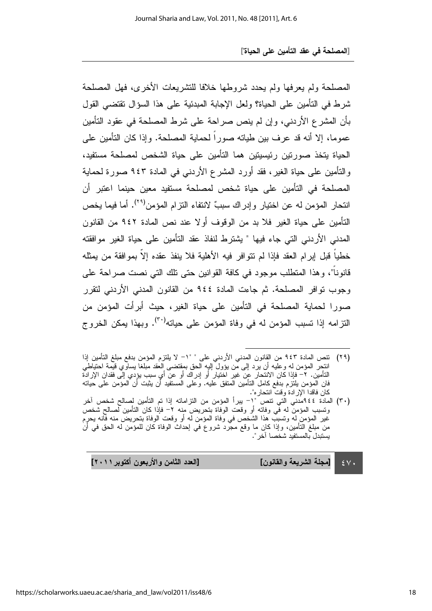المصلحة ولم يعرفها ولم يحدد شروطها خلافا للتشريعات الأخرى، فهل المصلحة شرط في النامين على الحياة؟ ولعل الإجابة المبدئية على هذا السؤال نقتضي القول بَأَنَ الْمُشْرَعِ الْأَرْدَني، وَإِنْ لَمْ يَنْصَ صَرَاحَةٌ عَلَى شَرَطَ الْمَصَلَحَةِ فَي عَقُودَ النَّامِين عموما، إلا أنه قد عرف بين طيانه صورًا لحماية المصلحة. وإذا كان التأمين على الحياة يتخذ صورتين رئيسيتين هما التأمين على حياة الشخص لمصلحة مستفيد، والنَّامين على حياة الغير، فقد أورد المشرع الأردنـي في المادة ٩٤٣ صـورة لـحماية المصلحة في التأمين على حياة شخص لمصلحة مستفيد معين حينما اعتبر أن انتحار المؤمن له عن اختيار وإدراك سببٌ لانتفاء النزام المؤمن<sup>(٢٩)</sup>. أما فيما يخص التأمين على حياة الغير فلا بد من الوقوف أولا عند نص المادة ٩٤٢ من القانون المدني الأردني التي جاء فيها " يشترط لنفاذ عقد التأمين على حياة الغير موافقته خطيا قبل إبرام العقد فإذا لم نتوافر فيه الأهلية فلا ينفذ عقده إلا بموافقة من يمثله قانونا"، وهذا المتطلب موجود في كافة القوانين حتى نلك التي نصت صراحة على وجوب توافر المصلحة. ثم جاءت المادة ٩٤٤ من القانون المدني الأردني لتقرر صورا لحماية المصلحة في التأمين على حياة الغير، حيث أبرأت المؤمن من النزامه إذا تسبب المؤمن له في وفاة المؤمن على حياته<sup>(٣٠)</sup>. وبهذا يمكن الخروج

- (٢٩) نتص المادة ٩٤٣ من القانون المدني الاردني على " "١– لا يلتزم المؤمن بدفع مبلغ التامين إذا انتحِر المؤمن له وعليه ان يرد إلى من يؤول إليهِ الحق بمقتضى العقد مبلغًا يساوي قيمة احتياطي التامين. ٢– فإذا كان الانتحار عِن غير اختيار او إدراك او عن اي سبب يؤِدي إلى فقدان الإرادة فان المؤمن يلتزم بدفع كامل التامين المتفق عليه. وعلى المستفيد ان يثبت ان المؤمن على حياته كان فاقدا الإرادة وقت انتحاره".
- (٣٠) المادة ١٤٤٤مدني التي نتص "إ ببرا المؤمن من النزاماته إذا تم التامين لصالح شخص اخر وتسبب المؤمن له في وفاته او وقعت الوفاة بتحريض منه ٢– فإذا كان النامين لصالح شخص غير المؤمن له ونسبب هذا الشخص في وفاة المؤمن له او وقعت الوفاة بتحريض منه فانه يحرِم من مبلغ التامين، وإذا كان ما وقع مجرد شروع في إحداث الوفاة كان للمؤمن له الحق في ان يستبدل بالمستفيد شخصبا آخر ".

 $\epsilon$   $\vee$   $\cdot$ دد الثامن والأربعون أكتوبر ٢٠١١] [مجلة الشريعة والقانون] [الع

l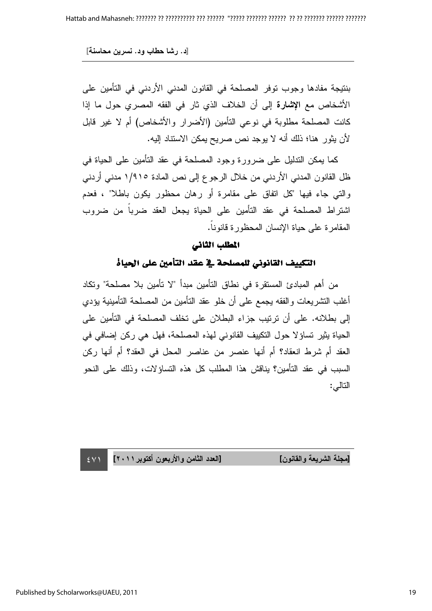بنتيجة مفادها وجوب توفر المصلحة في القانون المدني الأردني في التأمين على الأشخاص مع ا**لإشارة** إلى أن الخلاف الذي ثار في الفقه المصري حول ما إذا كانت المصلحة مطلوبة في نوعي التأمين (الأضرار والأشخاص) أم لا غير قابل لأن يثور هنا؛ ذلك أنه لا يوجد نص صريح يمكن الاستناد إليه.

كما يمكن الندليل على ضرورة وجود المصلحة في عقد النامين على الحياة في ظل القانون المدني الأردني من خلال الرجو ع إلى نص المادة ١/٩١٥ مدني أردني والَّتي جاء فيها "كل اتفاق على مقامرة أو رهان محظور يكون باطلا" ، فعدم اشتراط المصلحة في عقد التأمين على الحياة يجعل العقد ضربا من ضروب المقامرة على حياة الإنسان المحظورة قانونـ.

#### المطلب الثاني

### التكييف القانوني للمصلحة في عقد التأمين على الحياة

من أهم المبادئ المستقرة في نطاق التامين مبدأ "لا تأمين بلا مصلحة" وتكاد أغلب التشريعات والفقه يجمع على أن خلو عقد التأمين من المصلحة التأمينية يؤدي إلى بطلانه. على أن ترتيب جزاء البطلان على تخلف المصلحة في التأمين على الحياة يثير تساؤ لا حول التكييف القانوني لهذه المصلحة، فهل هي ركن إضافي في العقد أم شرط انعقاد؟ أم أنها عنصر من عناصر المحل في العقد؟ أم أنها ركن السبب في عقد التأمين؟ يناقش هذا المطلب كل هذه التساؤلات، وذلك على النحو التالي:

دد الثامن والأربعون أكتوبر ٢٠١١]

[مجلة الشريعة والقانون] [العا

Published by Scholarworks@UAEU, 2011

 $\sim$  2  $\vee$  1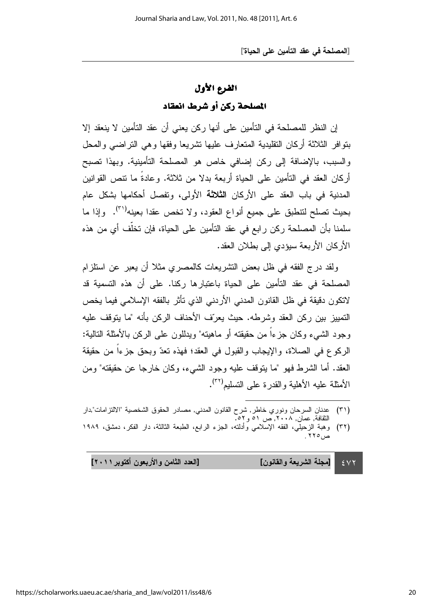### الفرع الأول

### المصلحة ركن أو شرط انعقاد

إن النظر للمصلحة في التأمين على أنها ركن يعني أن عقد التأمين لا ينعقد إلا بتوافر الثلاثة أركان النقليدية المتعارف عليها نشريعا وفقها وهي التراضىي والمحل والسبب، بالإضافة إلى ركن إضافي خاص هو المصلحة التأمينية. وبهذا تصبح أركان العقد في التأمين على الحياة أربعة بدلا من ثلاثة. وعادة ما نتص القوانين المدنية في باب العقد على الأركان **الثلاثة** الأولى، وتفصل أحكامها بشكل عام بحيث تصلح لتنطبق على جميع أنواع العقود، ولا تخص عقدا بعينه<sup>(٣١</sup>). وإذا ما سلمنا بأن المصلحة ركن رابع في عقد التأمين على الحياة، فإن تخلّف أي من هذه الأركان الأربعة سبؤدي إلى بطلان العقد.

ولقد درج الفقه في ظل بعض النشريعات كالمصري مثلاً أن يعبر عن استلزام المصلحة في عقد التأمين على الحياة باعتبار ها ركنا. على أن هذه التسمية قد لاتكون دقيقة في ظل القانون المدني الأردني الذي ناثر بالفقه الإسلامي فيما يخص التمييز بين ركن العقد وشرطه. حيث يعرّف الأحناف الركن بأنه "ما يتوقف عليه وجود الشيء وكان جزءا من حقيقته أو ماهيته" ويدللون على الركن بالأمثلة النالية: الركوع في الصلاة، والإيجاب والقبول في العقد؛ فهذه تعدّ وبحق جزءا من حقيقة العقد. أما الشرط فهو "ما يتوقف عليه وجود الشيء، وكان خارجا عن حقيقته" ومن الأمثلة عليه الأهلية والقدرة على التسليم<sup>(٣٢)</sup>.

l

 $\epsilon$   $\vee$   $\tau$ دد الثامن والأربعون أكتوبر ٢٠١١] [مجلة الشريعة والقانون] [الع

<sup>(</sup>٣١) عدنان السرحان ونوري خاطر, شرح القانون المدني, مصادر الحقوق الشخصية "الالتزامات",دار النقافة, عمان, ۲۰۰۸, ص ٥١ و ٥٦.

<sup>(</sup>٣٢) وهبة الزحيلي، الفقه الإسلامي وادلته، الجزء الرابع، الطبعة الثالثة، دار الفكر، دمشق، ١٩٨٩  $. 880$ ص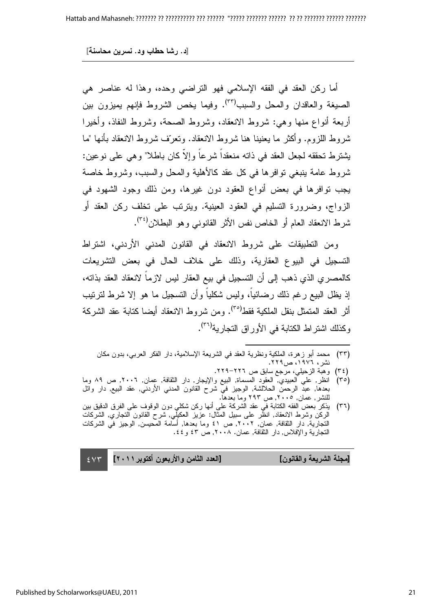أما ركن العقد في الفقه الإسلامي فهو التراضـي وحده، وهذا له عناصر هي الصيغة والعاقدان والمحل والسبب<sup>(٣٣)</sup>. وفيما يخص الشروط فإنهم يميزون بين أربعة أنواع منها وهي: شروط الانعقاد، وشروط الصحة، وشروط النفاذ، وأخيرا ثىروط اللزوم. وأكثر ما يعنينا هنا شروط الانعقاد. وتعرّف شروط الانعقاد بأنها "ما يثَنَّنزوط تُحقُّه لجعل العقد في ذاته منعقدًا شرعًا وإلا كان باطلاً" وهي على نوعين: شروط عامة بنبغي توافرها في كل عقد كالأهلية والمحل والسبب، وشروط خاصة يجب توافرها في بعض أنواع العقود دون غيرها، ومن ذلك وجود الشهود في الزواج، وضرورة التسليم في العقود العينية. ويترتب على تخلف ركن العقد أو شرط الانعقاد العام أو الخاص نفس الأثر القانونـي وهو البطلان<sup>(۳٤</sup>).

ومن التطبيقات على شروط الانعقاد في القانون المدني الأردني، اشتراط التسجيل في البيوع العقارية، وذلك على خلاف الحال في بعض التشريعات كالمصري الذي ذهب إلى أن التسجيل في بيع العقار ليس لازما لانعقاد العقد بذاته، إذ يظل البيع رغم ذلك رضائيا، وليس شكليا وأن التسجيل ما هو إلا شرط لترتيب أثر العقد المتمثل بنقل الملكية فقط<sup>(٣٥)</sup>. ومن شروط الانعقاد أيضا كتابة عقد الشركة وكذلك اشتراط الكتابة في الأوراق التجارية<sup>(٣٦)</sup>.

(٣٣) محمد ابو زهرة، الملكية ونظرية العقد في الشريعة الإسلامية، دار الفكر العربي، بدون مكان نشر ، ١٩٧٦، ص٢٢٩.

l

(٣٤) وهبة الزحيلي، مرجع سابق ص ٢٢٦–٢٢٩.

- (٣٥) انظر, علي العبيدي, العقود المسماة, البيع والإيجار, دار الثقافة, عمان, ٢٠٠٦, ص ٨٩ وما بعدها, عبد الرحمن الحلالشة, الوجيز في شرح القانون المدني الأردني, عقد البيع, دار وائل للنشر, عمان, ٢٠٠٥, ص ٢٩٣ وما بعدها.
- (٣٦) يذكر بعض الفقه الكتابة في عقد الشركة على أنها ركن شكلي دون الوقوف على الفرق الدقيق بين الركن وشرط الانعقاد, انظر على سبيل المثال: عزيز العكيلبي, شرح القانون التجاري, الشركات التجارية, دار الثقافة, عمان, ٢٠٠٢, ص ٤١ وما بعدها, أسامة المحيسن, الوجيز في الشركات النجارية والإفلاس, دار الثقافة, عمان. ٢٠٠٨, ص ٤٣ و ٤٤.

 $\epsilon$   $\vee$   $\tau$ دد الثامن والأربعون أكتوبر ٢٠١١] [مجلة الشريعة والقانون] [العا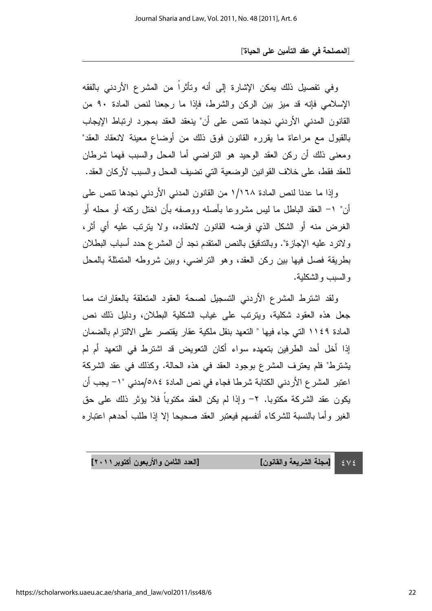وفي تفصيل ذلك يمكن الإشارة إلى أنه وتاثرًا من المشرع الأردني بالفقه الإسلامي فإنه قد ميز بين الركن والشرط، فإذا ما رجعنا لنص المادة ٩٠ من القانون المدني الأردني نجدها نتص على أن" ينعقد العقد بمجرد ارتباط الإيجاب بالقبول مع مراعاة ما يقرره القانون فوق ذلك من أوضاع معينة لانعقاد العقد" ومعنى ذلك أن ركن العقد الوحيد هو النراضـي أما المحل والسبب فـهما شرطان للعقد فقط، على خلاف القوانين الوضعية التي تضيف المحل والسبب لأركان العقد.

وإذا ما عدنا لنص المادة ١/١٦٨ من القانون المدني الأردني نجدها نتص على أن" ١– العقد الباطل ما ليس مشروعا بأصله ووصفه بأن اخنل ركنه أو محله أو الغرض منه أو الشكل الذي فرضه القانون لانعقاده، ولا يترنَّب عليه أي آثر، ولاترد عليه الإجازة". وبالندقيق بالنص المنقدم نجد أن المشرع حدد أسباب البطلان بطريقة فصل فيها بين ركن العقد، وهو النراضي، وبين شروطه المتمثلة بالمحل والسبب والشكلية.

ولقد اشترط المشرع الأردني التسجيل لصحة العقود المتعلقة بالعقارات مما جعل هذه العقود شكلية، ويترتب على غياب الشكلية البطلان، ودليل ذلك نص المادة ١١٤٩ التي جاء فيها " التعهد بنقل ملكية عقار يقتصر على الالتزام بالضمان إذا أخل أحد الطرفين بتعهده سواء أكان التعويض قد اشترط في التعهد أم لم يثَنْتُرْطَ" فَلَم يُعْتَرْفَ الْمُشْرَعِ بُوجُودِ الْعَقْدِ في هذه الْحَالَة. وكذلك في عقد الشَّرِكَة اعتبر المشر ع الأردني الكتابة شرطا فجاء في نص المادة ٥٨٤/مدني "١– يجب أن يكون عقد الشركة مكتوبا. ٢- وإذا لم يكن العقد مكتوبا فلا يؤثر ذلك على حق الغير وأما بالنسبة للشركاء أنفسهم فيعتبر العقد صحيحا إلا إذا طلب أحدهم اعتباره

> $\mathcal{E} \vee \mathcal{E}$ [مجلة الشريعة والقانون] [الع

دد الثامن والأربعون أكتوبر ٢٠١١]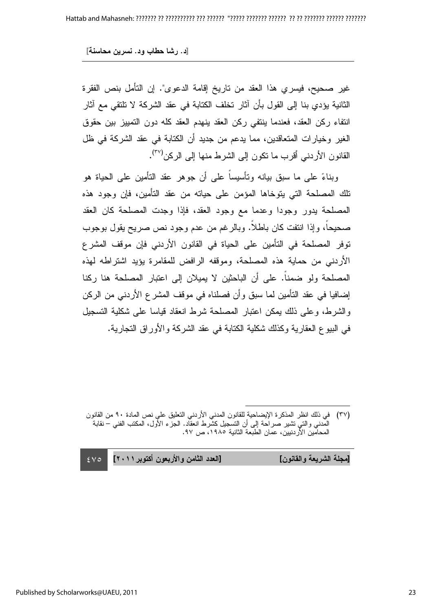[د. رشا حطاب ود. نسرين محاسنة]

غير صحيح، فيسري هذا العقد من تاريخ إقامة الدعوى". إن التأمل بنص الفقرة الثانية يؤدي بنا إلى القول بأن اثار تخلف الكتابة في عقد الشركة لا تلتقي مع اثار انتفاء ركن العقد، فعندما بنتفي ركن العقد بنهدم العقد كله دون التمييز ببن حقوق الغير وخيارات المتعاقدين، مما يدعم من جديد أن الكتابة في عقد الشركة في ظل القانون الأردني أقرب ما نكون إلى الشرط منها إلى الركن<sup>(٣٧)</sup>.

وبناءً على ما سبق بيانه ونأسيسا على أن جوهر عقد النأمين على الحياة هو نلك المصلحة التي يتوخاها المؤمن على حياته من عقد التامين، فإن وجود هذه المصلحة يدور وجودا وعدما مع وجود العقد، فإذا وجدت المصلحة كان العقد صحيحا، وإذا انتفت كان باطلا. وبالرغم من عدم وجود نص صريح يقول بوجوب توفر المصلحة في النامين على الحياة في القانون الأردني فإن موقف المشرع الاردني من حماية هذه المصلحة، وموقفه الرافض للمقامرة يؤيد اشتراطه لهذه المصلحة ولو ضمنا. على أن الباحثين لا يميلان إلى اعتبار المصلحة هنا ركنا إضـافيا في عقد التامين لمـا سبق وأن فصـلنـاه في موقف المشرع الأردنـي من الركن والشرط، وعلى ذلك بمكن اعتبار المصلحة شرط انعقاد قياسا على شكلية التسجيل في البيو ع العقارية وكذلك شكلية الكتابة في عقد الشركة والأوراق التجارية.

 $\overline{a}$ (٣٧) في ذلك انظر المذكر ة الإيضاحية للقانون المدني الأردني النعليق علي نص المادة ٩٠ من القانون المدنـي والنـي نتشير صـراحـة إلـى أن النسجيل كشرط انعقاد. الـجز ء الأول، المكتب الفنـي – نقابـة المحامين الأردنيين، عمان الطبعة الثانية ١٩٨٥، ص ٩٧.

| [الـعدد الثـامن والأربـعون أكتوبر ٢٠١١]   ٤٧٥ | [مجلة الشريعة والقانون] |  |
|-----------------------------------------------|-------------------------|--|
|                                               |                         |  |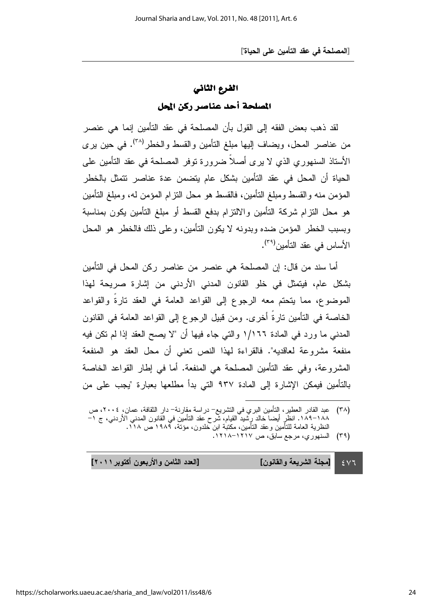#### الفرع الثاني

#### المصلحة أحد عناصر ركن المحل

لقد ذهب بعض الفقه إلى القول بأن المصلحة في عقد التأمين إنما هي عنصر من عناصر المحل، ويضـاف إليها مبلـغ النـأمين والقسط والخطر<sup>(٣٨)</sup>. في حين يرى الأستاذ السنهوري الذي لا يرى أصلا ضرورة توفر المصلحة في عقد التأمين على الحياة أن المحل في عقد التأمين بشكل عام يتضمن عدة عناصر نتمثل بالخطر المؤمن منه والقسط ومبلغ النامين، فالقسط هو محل النزام المؤمن له، ومبلغ النامين هو محل التزام شركة التأمين والالتزام بدفع القسط أو مبلغ التأمين يكون بمناسبة وبسبب الخطر المؤمن ضده وبدونه لا يكون النامين، وعلى ذلك فالخطر هو المحل الأساس في عقد التأمين<sup>(٣٩)</sup>.

أما سند من قال: إن المصلحة هي عنصر من عناصر ركن المحل في التأمين بشكل عام، فيتمثل في خلو القانون المدني الأردني من إشارة صريحة لهذا الموضوع، مما يتحتم معه الرجوع إلى القواعد العامة في العقد تارة والقواعد الخاصة في النأمين نارة أخرى. ومن قبيل الرجوع إلى القواعد العامة في القانون المدني ما ورد في المادة ١/١٦٦ والتي جاء فيها أن "لا يصح العقد إذا لم نكن فيه منفعة مشروعة لعاقديه". فالقراءة لمهذا النص تعني أن محل العقد هو المنفعة المشروعة، وفي عقد التأمين المصلحة هي المنفعة. أما في إطار القواعد الخاصة بالتأمين فيمكن الإشار ة إلى المادة ٩٣٧ التي بدأ مطلعها بعبار ة "يجب على من

l

 $\epsilon$   $\vee$   $\tau$ دد الثامن والأربعون أكتوبر ٢٠١١] [مجلة الشريعة والقانون] [الع

<sup>(</sup>٣٨) عبد القادر العطير، النامين البري في التشريع– دراسة مقارنة– دار الثقافة، عمان، ٢٠٠٤، ص ١٨٨–١٨٩. انظرِ ايضا خالد رِشيد القيام، شرح عقد النامين في القانون المدني الاردني، ج ١– النظرية العامة للتامين وعقد التامين، مكتبة ابن خلدون، مؤتة، ١٩٨٩ ص ١١٨.

<sup>(</sup>۳۹) السنهوري، مرجع سابق، ص ۱۲۱۷–۱۲۱۸.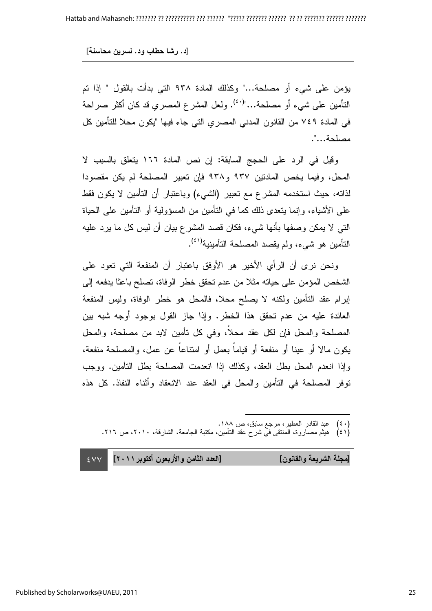يؤمن على شيء أو مصلحة..." وكذلك المادة ٩٣٨ التي بدأت بالقول " إذا تم النَّامين على شيء أو مصلحة..."<sup>(٤٠)</sup>. ولعل المشرع المصري قد كان أكثر صراحة في المادة ٧٤٩ من القانون المدني المصري التي جاء فيها "يكون محلا للتأمين كل مصلحة...".

وقيل في الرد على الحجج السابقة: إن نص المادة ١٦٦ يتعلق بالسبب لا المحل، وفيما يخص المادتين ٩٣٧ و٩٣٨ فإن تعبير المصلحة لم يكن مقصودا لذاته، حيث استخدمه المشرع مع تعبير (الشيء) وباعتبار أن التأمين لا يكون فقط على الأشياء، وإنما يتعدى ذلك كما في النأمين من المسؤولية أو النأمين على الحياة التي لا يمكن وصفها بأنها شيء، فكان قصد المشر ع بيان أن ليس كل ما يرد عليه النأمين هو شيء، ولم يقصد المصلحة النأمينية<sup>(٤١</sup>).

ونحن نرى ان الراي الاخير هو الاوفق باعتبار ان المنفعة التي تعود على الشخص المؤمن على حياته مثلاً من عدم تحقق خطر الوفاة، تصلح باعثا يدفعه إلى إبرام عقد التأمين ولكنه لا يصلح محلا، فالمحل هو خطر الوفاة، وليس المنفعة العائدة عليه من عدم تحقق هذا الخطر. وإذا جاز القول بوجود أوجه شبه بين المصلحة والمحل فإن لكل عقد محلا، وفي كل نأمين لابد من مصلحة، والمحل يكون مالا أو عينا أو منفعة أو قياما بعمل أو امتناعا عن عمل، والمصلحة منفعة، وإذا انعدم المحل بطل العقد، وكذلك إذا انعدمت المصلحة بطل النأمين. ووجب نوفر المصلحة في التأمين والمحل في العقد عند الانعقاد وأثناء النفاذ. كل هذه

,ee. 6 ?Z% [ ?O 
% )-)(

(٤١) هيثم مصاروة، المنتقى في شرح عقد التأمين، مكتبة الجامعة، الشارقة، ٢٠١٠، ص ٢١٦.

 $\overline{a}$ 

 $\sim$  2  $\vee$   $\vee$ دد الثامن والأربعون أكتوبر ٢٠١١] [مجلة الشريعة والقانون] [العا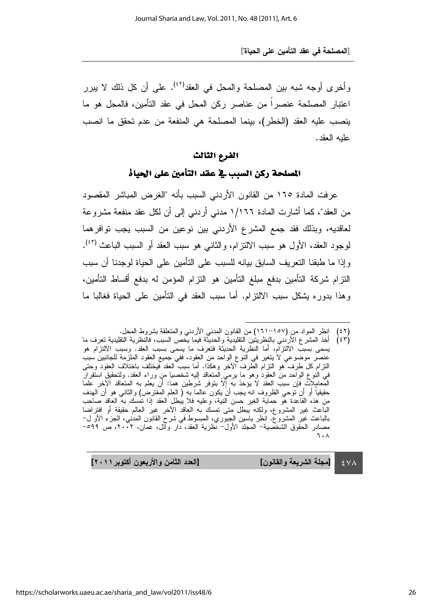وأخرى أوجه شبه بين المصلحة والمحل في العقد<sup>(٤٢)</sup>. على أن كل ذلك لا يبرر اعتبار المصلحة عنصرا من عناصر ركن المحل في عقد التامين، فالمحل هو ما ينصب عليه العقد (الخطر)، بينما المصلحة هي المنفعة من عدم تحقق ما انصب عليه العقد.

#### الفرع الثالث الثالث الثالثالفرع الثالث

المصلحة ركن السبب في عقد التأمين على الحياة

عرفت المادة ١٦٥ من القانون الأردني السبب بأنه "الغرض المباشر المقصود من العقد"، كما أشارت المادة ١/١٦٦ مدني أردني إلى أن لكل عقد منفعة مشروعة لعاقديه، وبذلك فقد جمع المشرع الأردني بين نوعين من السبب يجب توافرهما لوجود العقد، الأول هو سبب الالنزام، والثاني هو سبب العقد أو السبب الباعث <sup>(٤٣)</sup>. وإذا ما طبقنا التعريف السابق بيانه للسبب على التأمين على الحياة لوجدنا أن سبب النزام شركة النأمين بدفع مبلغ النأمين هو النزام المؤمن له بدفع اقساط النأمين، وهذا بدوره بشكل سبب الالتزام. اما سبب العقد في التامين على الحياة فغالبا ما

(٤٣) اخذ المشرع الاردني بالنظريتين التقليدية والحديثة فيما يخص السبب، فالنظرية التقليدية تعرف ما  $(55)$ يسمى بسبب الالتزام، اما النظرية الحديثة فتعرف ما يسمى بسبب العقد. وسبب الالتزام هو عنصر موضوعي لا يتغير في النوع الواحد من العِقود، ففي جميع العقود الملزمة للجانبين سبب التزام كل طرف هو النزام الطرف الاخر وهكذا. اما سبب العقد فيختلف باختلاف العقود وحتى في النوع الواحد من العقود وهو ما برمـي المتعاقد الِيه شخصيا منِ وراء العقد. ولتحقيق استقرار المعامِلاتِ فإن سبب العقد لا يؤخذ به إلا بتوفر شرطين هما: ان يعلم به المتعاقد الاخر علما حقيقيا او ان نوحي الظروف انه يجب ان يكون عالما به ( العلم المفترض) والثاني هو ان الهدف من هذه القاعدة هو حماية الغير حسن النية، وعليه فلا يبطل العقد إذا تمسك به العاقد صاحب الباعث غير المشروع، ولكنه يبطل متى تمسك به العاقد الاخر غير العالم حقيقة او افتراضا بالباعث غير المشروع. انظر باسين الجبوري، المبسوط في شرح القانون المدني، الجزء الاو ل− مصادر الحقوق الشخصية– المجلد الاول– نظرية العقد، دار وائل، عمان، ٢٠٠٢، ص ٥٩٩–  $7 \cdot \Lambda$ 

 $\epsilon$  Y A دد الثامن والأربعون أكتوبر ٢٠١١] [مجلة الشريعة والقانون] [الع

l (٤٢) انظر المواد من (١٥٧–١٦١) من القانون المدني الاردني والمتعلقة بشروط المحل.  $(51)$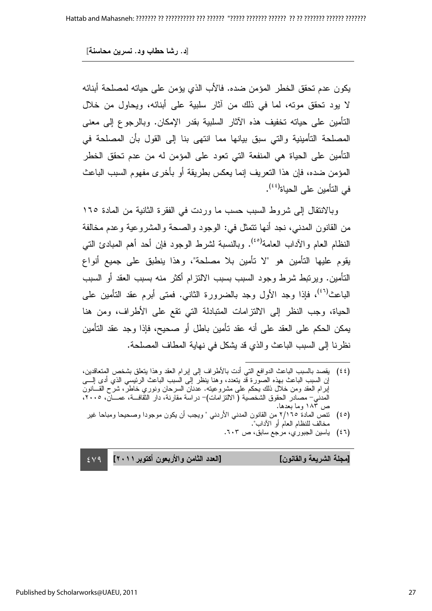يكون عدم تحقق الخطر المؤمن ضده. فالأب الذي يؤمن على حياته لمصلحة أبنائه لا يود تحقق موته، لما في ذلك من اثار سلبية على أبنائه، ويحاول من خلال التأمين على حياته تخفيف هذه الاثار السلبية بقدر الإمكان. وبالرجوع إلى معنى المصلحة التأمينية والتي سبق بيانها مما انتهى بنا إلى القول بأن المصلحة في التأمين على الحياة هي المنفعة التي تعود على المؤمن له من عدم تحقق الخطر المؤمن ضده، فإن هذا التعريف إنما يعكس بطريقة أو بأخرى مفهوم السبب الباعث في التأمين على الحياة<sup>(٤٤)</sup>.

وبالانتقال إلى شروط السبب حسب ما وردت في الفقرة الثانية من المادة ١٦٥ من القانون المدني، نجد أنها نتمثَّل في: الوجود والصحة والمشروعية وعدم مخالفة النظام العام والآداب العامة<sup>(٤٥)</sup>. وبالنسبة لشرط الوجود فإن أحد أهم المبادئ النبي يقوم عليها التامين هو "لا تامين بلا مصلحة"، وهذا ينطبق على جميع انواع التأمين. ويرتبط شرط وجود السبب بسبب الالتزام أكثر منه بسبب العقد أو السبب الباعث<sup>(٤٦)</sup>، فإذا وجد الأول وجد بالضرورة الثاني. فمتى أبرم عقد النأمين على الحياة، وجب النظر إلى الالنزامات المتبادلة التي نقع على الأطراف، ومن هنا يمكن الحكم على العقد على أنه عقد نأمين باطل أو صحيح، فإذا وجد عقد التأمين نظرنـا إلى السبب الباعث والذي قد بشكل في نـهايـة المطـاف المصلحة.

(٤٤) يقصد بالسبب الباعث الدوافع التي ادت بالاطراف إلى إبرام العقد وهذا يتعلق بشخص المنعاقدين، إن السبب الباعث بهذه الصورة قد يتعدد، وهنا ينظر إلى السبب الباعث الرئيسي الذي ادى إلــــى إبرام العقد ومن خلال ذلك يحكم على مشروعيته. عدنان السرحان ونوري خاطر، شرح القـــانون المدني– مصـادر الحقوق الشخصية ( الالتز امات)– در اسة مقارنة، دار الثقافـــة، عمـــان، ٢٠٠٥، ، ص ۱۸۳ وما بعدها.

 $\overline{a}$ 

- (٤٥) نتص المادة ٢/١٦٥ من القانون المدني الأردني " ويجب أن يكون موجودا وصحيحا ومباحا غير مخالف للنظام العام أو الأداب".
	- (٤٦) ياسين الجبوري، مرجع سابق، ص ٢٠٣.

 $\sim$  2  $\vee$  9 دد الثامن والأربعون أكتوبر ٢٠١١] [مجلة الشريعة والقانون] [العا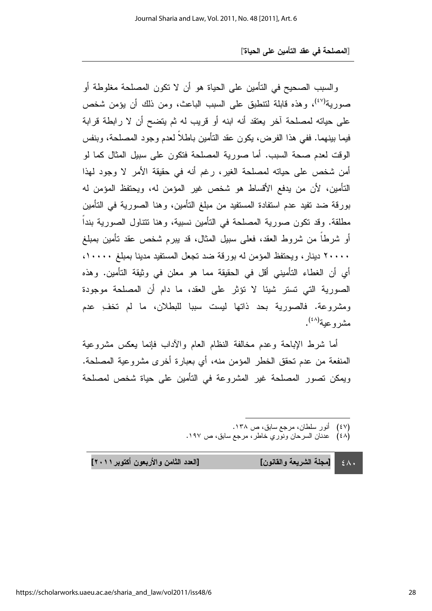والسبب الصحيح في النأمين على الحياة هو أن لا نكون المصلحة مغلوطة أو صورية<sup>(٤٧)</sup>، وهذه قابلة لتنطبق على السبب الباعث، ومن ذلك أن يؤمن شخص على حياته لمصلحة اخر يعتقد أنه ابنه أو قريب له ثم يتضح أن لا رابطة قرابة فيما بينهما. ففي هذا الفرض، يكون عقد النأمين باطلاً لعدم وجود المصلحة، وبنفس الوقت لعدم صحة السبب. أما صورية المصلحة فتكون على سبيل المثال كما لو أمن شخص على حياته لمصلحة الغير، رغم أنه في حقيقة الأمر لا وجود لمهذا التأمين، لأن من يدفع الأقساط هو شخص غير المؤمن له، ويحتفظ المؤمن له بورقة ضد نفيد عدم استفادة المستفيد من مبلغ التأمين، وهنا الصورية في التأمين مطلقة. وقد نكون صورية المصلحة في النامين نسبية، وهنا نتتاول الصورية بندا أو شرطًا من شروط العقد، فعلَّى سبيل المثال، قد بيرم شخص عقد تأمين بمبلغ ۲۰۰۰۰ دینار، ویحتفظ المؤمن له بورقة ضد تجعل المستفید مدینا بمبلغ ۱۰۰۰۰، أي أن الغطاء النَّاميني أقل في الحقيقة مما هو معلن في وثيقة التأمين. وهذه الصورية التي تستر شيئًا لا تؤثَّر على العقد، ما دام أن المصلحة موجودة ومشروعة. فالصورية بحد ذاتها ليست سببا للبطلان، ما لم تخف ِ عدم مشروعية<sup>(٤٨)</sup>.

أما شرط الإباحة وعدم مخالفة النظام العام والاداب فإنما ببعكس مشروعية المنفعة من عدم تحقق الخطر المؤمن منه، أي بعبارة أخرى مشروعية المصلحة. ويمكن تصور المصلحة غير المشروعة في التأمين على حياة شخص لمصلحة

- (٤٧) انور سلطان، مرجع سابق، ص ١٣٨.
- (٤٨) عدنان السرحان ونوري خاطر، مرجع سابق، ص ١٩٧.

l

 $\epsilon$  /  $\cdot$ [مجلة الشريعة والقانون] [الع

دد الثامن والأربعون أكتوبر ٢٠١١]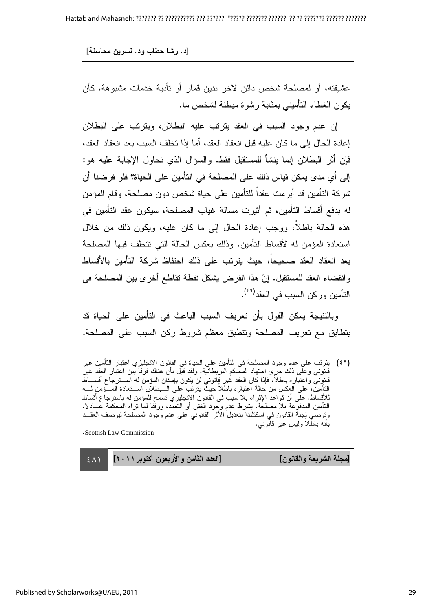عشيقته، أو لمصلحة شخص دائن لاخر بدين قمار أو نأدية خدمات مشبوهة، كأن يكون الغطاء التأميني بمثابة رشوة مبطنة لشخص ما.

إن عدم وجود السبب في العقد يترتب عليه البطلان، ويترتب على البطلان إعادة الحال إلى ما كان عليه قبل انعقاد العقد، أما إذا تخلف السبب بعد انعقاد العقد، فَإِنْ آثَرِ الْبَطْلَانِ إِنَّمَا لِنَشَأَ لْلْمُسْتَقْبِلْ فَقَطْ. والسؤال الذي نحاول الإجابة عليه هو: إلى أي مدى يمكن قياس ذلك على المصلحة في التأمين على الحياة؟ فلو فرضنا أن شركة النأمين قد أبرمت عقدا للنامين على حياة شخص دون مصلحة، وقام المؤمن له بدفع أقساط التأمين، ثم أثيرت مسالة غياب المصلحة، سيكون عقد التأمين في هذه الحالة باطلا، ووجب إعادة الحال إلى ما كان عليه، ويكون ذلك من خلال استعادة المؤمن له لأقساط التأمين، وذلك بعكس الحالة التي نتخلف فيها المصلحة بعد انعقاد العقد صحيحا، حيث يترنب على ذلك احتفاظ شركة التأمين بالأقساط وانقضاء العقد للمستقبل. إنّ هذا الفرض يشكل نقطة نقاطع أخرى بين المصلحة في التأمين وركن السبب في العقد<sup>(٤٩)</sup>.

وبالنتيجة يمكن القول بأن تعريف السبب الباعث في التأمين على الحياة قد يتطابق مع تعريف المصلحة ونتطبق معظم شروط ركن السبب على المصلحة.

 $\overline{a}$ 

. Scottish Law Commission

[مجلة الشريعة والقانون] [العا

 $\sim$  2  $\land$  1 دد الثامن والأربعون أكتوبر ٢٠١١]

<sup>(</sup>٤٩) يترتب على عدم وجود المصلحة في التامين على الحياة في القانون الانجليزي اعتبار التامين غير قانوني وعلى ذلك جرى اجتهاد المحاكم البريطانية. ولقد قيل بان هناك فرقا بين اعتبار العقد غير قانوِني واعتباره باطلاً، فإذا كان العقد غير فإنوني لن يكون بإمكان المؤمن له اســـنرجاع اقســــاط ً التأمينّ، على العكس من حالة اعتباره باطلاً حيث يترتب على الــبطلان اســـتعادة المـــؤمن لــــه للاقساط. على أن قواعد الإثراء بلا سبب في القانون الانجليزي تسمح للمؤمن له باسترجاع أقساط النَّامين المدفوعة بلا مصلحة، بشرط عدم وجود الغش أو النعمد، ووفقًا لما نزَّاه المحكمة عـــادلًا. ونوصـي لِجنة القانون في اسكتلندا بتعديل الأثر القانونـي علـى عدم وجود المصلحة ليوصف العقـــد بأنـه بـاطـلا وليس غير قانونـي.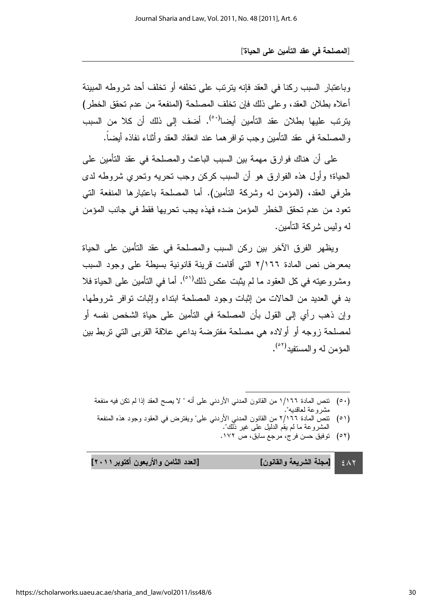وباعتبار السبب ركنا في العقد فإنه بترتب على تخلفه أو تخلف أحد شروطه المبينة أعلاه بطلان العقد، وعلى ذلك فإن تخلف المصلحة (المنفعة من عدم تحقق الخطر) يترنب عليها بطلان عقد التأمين أيضا<sup>(٥٠٠)</sup>. أضف إلى ذلك أن كلا من السبب والمصلحة في عقد النامين وجب نوافر هما عند انعقاد العقد وأنناء نفاذه أيضـا.

على أن هناك فوارق مهمة بين السبب الباعث والمصلحة في عقد التأمين على الحياة؛ وأول هذه الفوارق هو أن السبب كركن وجب تحريه وتحري شروطه لدى طرفي العقد، (المؤمن له وشركة التأمين). أما المصلحة باعتبارها المنفعة التي تعود من عدم تحقق الخطر المؤمن ضده فهذه يجب تحريها فقط في جانب المؤمن لـه وليس شركـة الـتأمين.

ويظهر الفرق الاخر بين ركن السبب والمصلحة في عقد النأمين على الحياة بمعرض نص المادة ٢/١٦٦ التي اقامت قرينة قانونية بسيطة على وجود السبب ومشروعيته في كل العقود ما لم يثبت عكس ذلك<sup>(٥١)</sup>. أما في التأمين على الحياة فلا بد في العديد من الحالات من إثبات وجود المصلحة ابتداء وإثبات توافر شروطها، وإن ذهب رأي إلى القول بأن المصلحة في التأمين على حياة الشخص نفسه أو لمصلحة زوجه أو أولاده هي مصلحة مفترضة بداعي علاقة القربى التي تربط بين المؤمن له والمستفيد<sup>(٥٢)</sup>.

0٠) نتص المادة ١/١٦٦ من القانون المدني الاردني على انه " لا يصح العقد إذا لم نكن فيه منفعة مشروعة لعاقديه".

l

- (٥١) نتص المادة ٢/١٦٦ من القانون المدني الاردني على" ويفترض في العقود وجود هذه المنفعة المشروعة ما لم يقم الدليل على غير ذلك".
	- (٥٢) توفيق حسن فرج، مرجع سابق، ص ١٧٢.

دد الثامن والأربعون أكتوبر ٢٠١١]

 $\epsilon$   $\wedge$   $\vee$ [مجلة الشريعة والقانون] [الع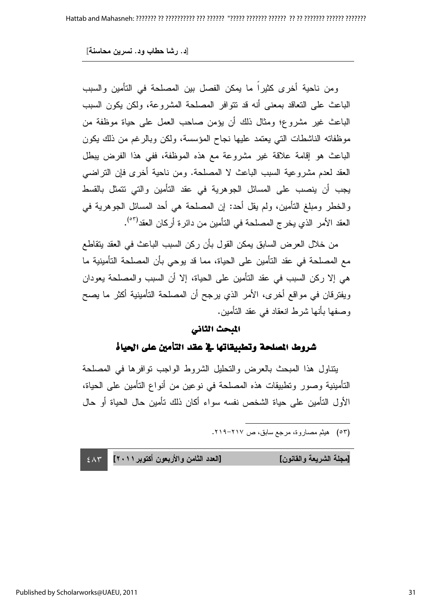ومن ناحية أخرى كثيرًا ما يمكن الفصل بين المصلحة في التأمين والسبب الباعث على التعاقد بمعنى أنه قد نتوافر المصلحة المشروعة، ولكن يكون السبب الباعث غير مشروع؛ ومثال ذلك أن يؤمن صـاحب العمل على حياة موظفة من موظفاته الناشطات التي يعتمد عليها نجاح المؤسسة، ولكن وبالرغم من ذلك يكون الباعث هو إقامة علاقة غير مشروعة مع هذه الموظفة، ففي هذا الفرض ببطل العقد لعدم مشروعية السبب الباعث لا المصلحة. ومن ناحية أخرى فإن النراضـي يجب أن ينصب على المسائل الجوهرية في عقد النامين والتي نتمثل بالقسط والخطر ومبلغ التأمين، ولم يقل أحد: إن المصلحة هي أحد المسائل الجوهرية في العقد الأمر الذي يخر ج المصلحة في التأمين من دائر ة أركان العقد<sup>(٥٣)</sup>.

من خلال العرض السابق يمكن القول بأن ركن السبب الباعث في العقد يتقاطع مع المصلحة في عقد النامين على الحياة، مما قد يوحي بان المصلحة النامينية ما هي إلا ركن السبب في عقد التأمين على الحياة، إلا أن السبب والمصلحة يعودان ويفترقان في مواقع أخرى، الأمر الذي يرجح أن المصلحة التأمينية أكثر ما يصح وصفها بأنـها شرط انـعقاد فـي عقد النـأمين.

#### المبحث الثاني

### شروط المصلحة وتطبيقاتها في عقد التأمين على الحياة

يتناول هذا المبحث بالعرض والتحليل الشروط الواجب نوافرها في المصلحة التأمينية وصور ونطبيقات هذه المصلحة في نوعين من أنواع التأمين على الحياة، الأول التأمين على حياة الشخص نفسه سواء أكان ذلك نأمين حال الحياة أو حال

 $\overline{a}$ 

 $\epsilon$   $\wedge$   $\tau$ دد الثامن والأربعون أكتوبر ٢٠١١] [مجلة الشريعة والقانون] [العا

<sup>(</sup>٥٣) هيثم مصـاروة، مرجـع سابق، ص ٢١٧–٢١٩.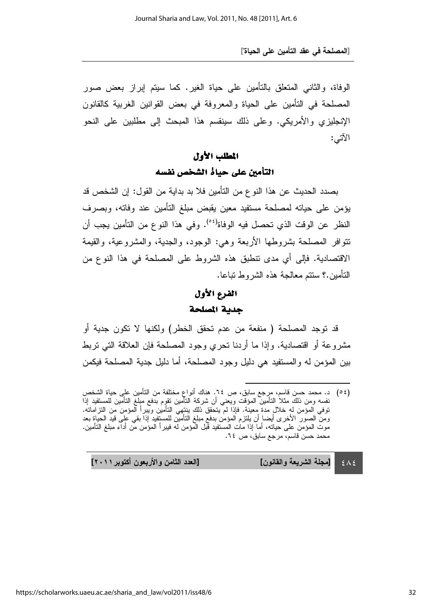الوفاة، والثاني المتعلق بالتأمين على حياة الغير. كما سيتم إبراز بعض صور المصلحة في التأمين على الحياة والمعروفة في بعض القوانين الغربية كالقانون الإنجليزي والأمريكي. وعلى ذلك سينقسم هذا المبحث إلى مطلبين على النحو الآتبي:

## المطلب الأول الأول الأولالمطلب الأول التأمين على حياة الشخص نفسه

بصدد الحديث عن هذا النو ع من التأمين فلا بد بداية من القول: إن الشخص قد يؤمن على حياته لمصلحة مستفيد معين يقبض مبلغ التأمين عند وفاته، وبصرف النظر عن الوقت الذي تحصل فيه الوفاة<sup>(٥٤)</sup>. وفي هذا النوع من التأمين يجب أن نتوافر المصلحة بشروطها الأربعة وهي: الوجود، والجدية، والمشروعية، والقيمة الاقتصادية. فإلى أي مدى نتطبق هذه الشروط على المصلحة في هذا النوع من النّامين.؟ سنتم معالجة هذه الشروط نباعا.

## الفرع الأول جدية المصلحة

قد توجد المصلحة ( منفعة من عدم تحقق الخطر) ولكنها لا تكون جدية أو مشروعة أو اقتصادية. وإذا ما أردنا تحري وجود المصلحة فإن العلاقة التي نربط بين المؤمن له والمستفيد هي دليل وجود المصلحة، أما دليل جدية المصلحة فيكمن

 $2\lambda$ دد الثامن والأربعون أكتوبر ٢٠١١] [مجلة الشريعة والقانون] [الع

l

<sup>(0</sup>٤) د. محمد حسن قاسم، مرِجع سابق، ص ٢٤. هناك انواع مختلفة من التامين علي حياة الشخص نفسه ومن ذلك مثلا النامين المؤقت ويعني ان شركة النامين نقوِم بدفع مبلغ النامين للمستفيد إذا توفي المؤمن لهِ خلالٍ مدة مِعينة. فإذا لم يتحقق ذلك ينتِهي التامين ويبرا المؤمن من التزاماته. ومن الصـور الاخر ى ايضـا ان يلتزم المؤمن بدفع مبلـغ النـّامين للمستفيد إذا بقي علـى قيد الـحياة بـعد<br>موت المؤمن علـى حياته، أمـا إذا مـات المستفيد قبل المؤمن لـه فيبرأ المؤمن من أداء مبلـغ النـّأمين. محمد حسن قاسم، مرجع سابق، ص ٢٤.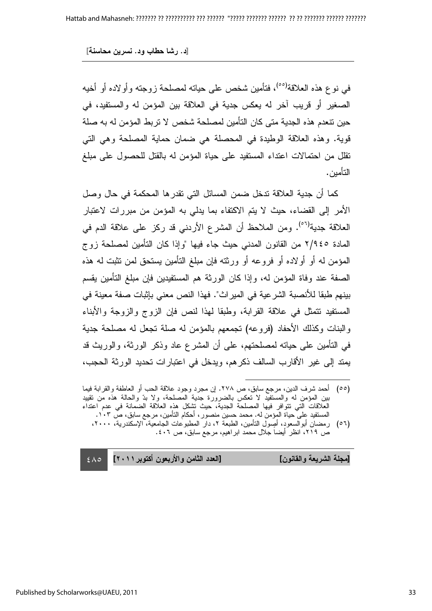في نوع هذه العلاقة<sup>(٥٥)</sup>، فتأمين شخص على حياته لمصلحة زوجته وأولاده أو أخيه الصغير أو قريب اخر له يعكس جدية في العلاقة بين المؤمن له والمستفيد، في حين نتعدم هذه الجدية متى كان التأمين لمصلحة شخص لا تربط المؤمن له به صلة قوية. وهذه العلاقة الوطيدة في المحصلة هي ضمان حماية المصلحة وهي التي نقلل من احتمالات اعتداء المستفيد على حياة المؤمن له بالقتل للحصول على مبلغ التأمين.

كما أن جدية العلاقة ندخل ضمن المسائل التي تقدرها المحكمة في حال وصل الأمر إلى القضاء، حيث لا يتم الاكتفاء بما يدلي به المؤمن من مبر رات لاعتبار العلاقة جدية<sup>(٥٦)</sup>. ومن الملاحظ أن المشرع الأردني قد ركز على علاقة الدم في المادة ٢/٩٤٥ من القانون المدني حيث جاء فيها "وإذا كان التأمين لمصلحة زوج المؤمن له او اولاده او فروعه او ورثته فإن مبلغ النامين يستحق لمن نثبت له هذه الصفة عند وفاة المؤمن له، وإذا كان الورثة هم المستفيدين فإن مبلغ النأمين يقسم بينهم طبقا للأنصبة الشرعية في الميراث". فهذا النص معنى بإثبات صفة معينة في المستفيد نتمثَّل في علاقة القرابة، وطبقًا لمهذا لنص فإن الزوج والزوجة والأبناء والبنات وكذلك الأحفاد (فروعه) تجمعهم بالمؤمن له صلة تجعل له مصلحة جدية في التأمين على حياته لمصلحتهم، على أن المشرع عاد وذكر الورثة، والوريث قد يمتد إلى غير الأقارب السالف ذكرهم، ويدخل في اعتبارات تحديد الورثة الحجب،

[مجلة الشريعة والقانون] [العا

 $\epsilon \wedge \circ$ دد الثامن والأربعون أكتوبر ٢٠١١]

 $\overline{a}$ (٥٥) أحمد شرف الدين، مرجع سابق، ص ٢٧٨. إن مجرد وجود علاقة الحب أو العاطفة والقرابة فيما بين المؤمن له والمستفيد لا تعكس بالضرورة جدية المصلحة، ولا بدّ والحالة هذه من تقييد العلاقات التي تتوافر فيها المصلحة الجدية، حيث تشكل هذه العلاقة الضمانة في عدم اعتداء المستفيد على حياة المؤمن له. محمد حسين منصور ، أحكام التأمين، مرجع سابق، ص ١٠٣.

<sup>(</sup>٥٦) رمضان أبوالسعود، أُصِول النَّامين، الطَّبعة ٢، دار المطبوعات الجامعية، الإسكندرية، ٢٠٠٠، ص ٢١٩، انظر أيضا جلال محمد ابراهيم، مرجع سابق، ص ٤٠٦ .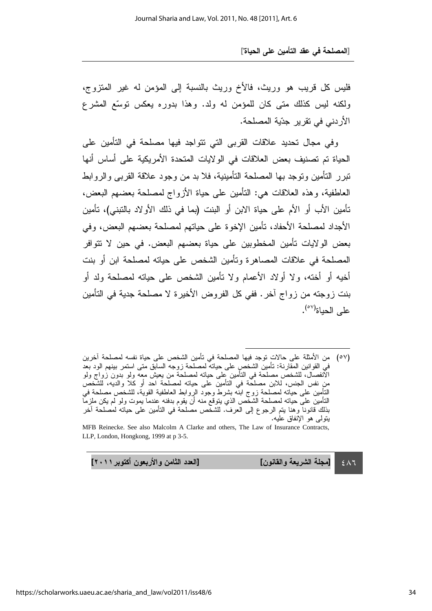فليس كل قريب هو وريث، فالأخ وريث بالنسبة إلى المؤمن له غير المنزوج، ولكنه ليس كذلك متى كان للمؤمن له ولد. وهذا بدوره يعكس توسُّع المشرع الأردني في تقرير. جدّية المصلحة.

وفي مجال تحديد علاقات القربي التي نتواجد فيها مصلحة في التأمين على الحياة تم تصنيف بعض العلاقات في الولايات المتحدة الأمريكية على أساس أنها نتبرر النامين ونوجد بها المصلحة النامينية، فلا بد من وجود علاقة القربى والروابط العاطفية، وهذه العلاقات هي: التأمين على حياة الأزواج لمصلحة بعضهم البعض، تأمين الأب أو الأم على حياة الابن أو البنت (بما في ذلك الأولاد بالنبني)، تأمين الأجداد لمصلحة الأحفاد، تأمين الإخوة على حياتهم لمصلحة بعضهم البعض، وفي بعض الولايات تأمين المخطوبين على حياة بعضهم البعض. في حين لا تتوافر المصلحة في علاقات المصـاهرة ونـأمين الشخص على حياته لمصلحة ابن أو بنت أخيه أو أخته، ولا أولاد الأعمام ولا نامين الشخص على حياته لمصلحة ولد أو بنت زوجته من زواج اخر . ففي كل الفروض الأخيرة لا مصلحة جدية في التأمين على الحياة<sup>(٥٧)</sup>.

l

 $\epsilon$   $\wedge$  7 [مجلة الشريعة والقانون] [الع

دد الثامن والأربعون أكتوبر ٢٠١١]

<sup>(</sup>٥٧) من الامثلة على حالاتٍ توجد فيها المصلحة في تامين الشخص على حياة نفسه لمصلحة اخرين في القوانين المقارنة: نامين الشخصِ على حيانه لمصلحة زوجه السابق منى استمر بينهم الود بعد الانفصال، للشخص مصلحة في النامين عِلَى حيانه لمصلحة من يعيش معه ولو بدون زواج ولو منِ نفس الجنس، للابن مصلحة في التامين على حياته لمصلحة احد او كلا والديه، للشخص النَّامِين على حيانه لمصلحة زوج ابنه بشرط وجود الرِّوابط العاطفية القوية، للشَّخص مصلحة في النامين على حياته لمصلحة الشخص الذي يتوقع منه ان يقوم بدفنه عندما بموت ولو لم يكن ملزما بنالك قانونا وهنا بتم الرجوع إلى العرف. للشخص مصلحة في التامين على حياته لمصلحة اخر يتولى هو الإنفاق عليه.

MFB Reinecke. See also Malcolm A Clarke and others, The Law of Insurance Contracts, LLP, London, Hongkong, 1999 at p 3-5.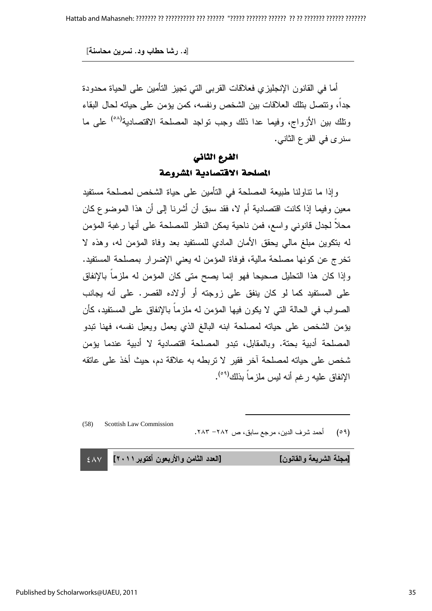[د. رشا حطاب ود. نسرين محاسنة]

أما في القانون الإنجليزي فعلاقات القربى الني نجيز النامين على الحياة محدودة جدا، ونتصل بنلك العلاقات بين الشخص ونفسه، كمن يؤمن على حياته لحال البقاء ونلك بين الأزواج، وفيما عدا ذلك وجب نواجد المصلحة الاقتصادية<sup>(٥٨)</sup> على ما سنري في الفر ع الثانبي.

## الفرع الثاني المصلحة الاقتصادية المشروعة

وإذا ما نتاولنا طبيعة المصلحة في التأمين على حياة الشخص لمصلحة مستفيد معين وفيما إذا كانت اقتصادية أم لا، فقد سبق أن أشرنـا إلـى أن هذا الموضـوع كـان محلا لجدل قانوني واسع، فمن ناحية يمكن النظر للمصلحة على أنها رغبة المؤمن له بنكوين مبلغ مالي يحقق الأمان المادي للمستفيد بعد وفاة المؤمن له، وهذه لا تخرج عن كونها مصلحة مالية، فوفاة المؤمن له يعني الإضرار بمصلحة المستفيد. وإذا كان هذا التحليل صحيحا فهو إنما يصح متى كان المؤمن له ملزما بالإنفاق على المستفيد كما لو كان ينفق على زوجته أو أولاده القصر. على أنه يجانب الصواب في الحالة التي لا يكون فيها المؤمن له ملزما بالإنفاق على المستفيد، كأن يؤمن الشخص على حياته لمصلحة ابنه البالغ الذي يعمل ويعيل نفسه، فهنا تبدو المصلحة ادبية بحتة. وبالمقابل، نبدو المصلحة اقتصادية لا ادبية عندما يؤمن شخص على حياته لمصلحة آخر فقير لا تربطه به علاقة دم، حيث أخذ على عاتقه الإنفاق عليه رغم أنه ليس ملزماً بذلك<sup>(٥٩)</sup>.

(58) Scottish Law Commission

(09) أحمد شرف الدين، مرجع سابق، ص ٢٨٢– ٢٨٣.

 $\overline{a}$ 

 $\sim$  2  $\land$  Y دد الثامن والأربعون أكتوبر ٢٠١١] [مجلة الشريعة والقانون] [العا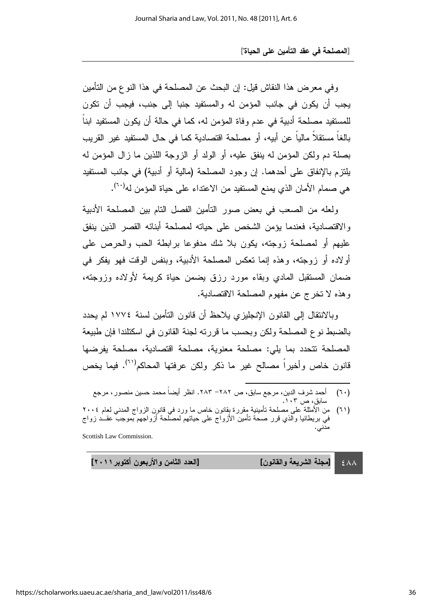وفي معرض هذا النقاش قيل: إن البحث عن المصلحة في هذا النوع من التأمين يجب أن يكون في جانب المؤمن له والمستفيد جنبا إلى جنب، فيجب أن تكون للمستفيد مصلحة أدبية في عدم وفاة المؤمن له، كما في حالة أن يكون المستفيد ابنا بالغا مستقلا ماليا عن أبيه، أو مصلحة اقتصادية كما في حال المستفيد غير القريب بصلة دم ولكن المؤمن له ينفق عليه، أو الولد أو الزوجة اللذين ما زال المؤمن له يلتزم بالإنفاق على أحدهما. إن وجود المصلحة (مالية أو أدبية) في جانب المستفيد هي صمام الأمان الذي يمنع المستفيد من الاعتداء على حياة المؤمن له<sup>(٢٠</sup>).

ولعله من الصعب في بعض صور النأمين الفصل النام بين المصلحة الأدبية والاقتصادية، فعندما بؤمن الشخص على حياته لمصلحة أبنائه القصر الذين ينفق عليهم أو لمصلحة زوجته، يكون بلا شك مدفوعا برابطة الحب والحرص على أولاده أو زوجته، وهذه إنما تعكس المصلحة الأدبية، وبنفس الوقت فهو يفكر في ضمان المستقبل المادي وبقاء مورد رزق بضمن حياة كريمة لأولاده وزوجته، وهذه لا تخرج عن مفهوم المصلحة الاقتصادية.

وبالانتقال إلى القانون الإنجليزي يلاحظ أن قانون التأمين لسنة ١٧٧٤ لم يحدد بالضبط نو ع المصلحة ولكن وبحسب ما قررته لجنة القانون في اسكتلندا فإن طبيعة المصلحة نتحدد بما يلي: مصلحة معنوية، مصلحة اقتصادية، مصلحة يفرضها قانون خاص وأخيراً مصـالـح غير مـا ذكر ولكن عرفتها المحاكم<sup>(٦١</sup>). فيما يخص

- l (٦٠) احمد شرف الدین، مرجع سابق، ص ٢٨٢– ٢٨٣. انظر ایضا محمد حسین منصور ، مرجع سابق، ص ۱۰۳.
- (٦١) من الامثلة على مصلحة تامينية مقررة بقانون خاص ما ورد في قانون الزواج المدني لعام ٢٠٠٤ في بريطانيا والذي قرر صحة نامين الازواج على حياتهم لمصلحة ازواجهم بموجب عقـــد زواج مدني.

Scottish Law Commission.

 $\epsilon$   $\wedge$   $\wedge$ [مجلة الشريعة والقانون] [الع

دد الثامن والأربعون أكتوبر ٢٠١١]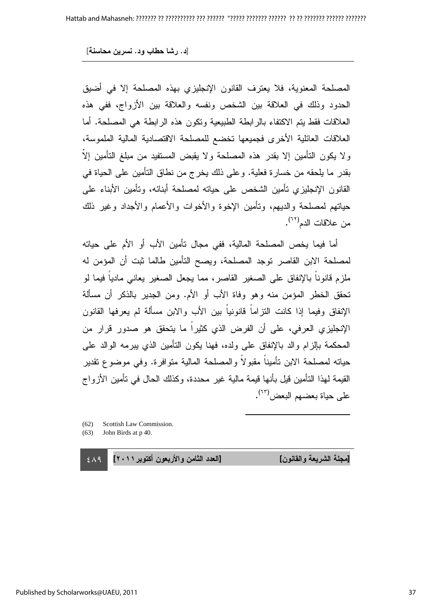المصلحة المعنوية، فلا يعترف القانون الإنجليزي بهذه المصلحة إلا في أضيق الحدود وذلك في العلاقة بين الشخص ونفسه والعلاقة بين الأزواج، ففي هذه العلاقات فقط يتم الاكتفاء بالرابطة الطبيعية وتكون هذه الرابطة هي المصلحة. أما العلاقات العائلية الأخرى فجميعها تخضع للمصلحة الاقتصادية المالية الملموسة، ولا يكون التأمين إلا بقدر هذه المصلحة ولا يقبض المستفيد من مبلغ التأمين إلا بقدر ما يلحقه من خسارة فعلية. وعلى ذلك يخرج من نطاق التأمين على الحياة في القانون الإنجليزي نأمين الشخص على حيانه لمصلحة أبنائه، ونامين الأبناء على حياتهم لمصلحة والديهم، ونامين الإخوة والأخوات والأعمام والأجداد وغير ذلك من علاقات الدم<sup>(٦٢)</sup>.

أما فيما يخص المصلحة المالية، ففي مجال نأمين الأب أو الأم على حياته لمصلحة الابن القاصر توجد المصلحة، ويصح التامين طالما ثبت ان المؤمن له ملزم قانونا بالإنفاق على الصغير القاصر، مما يجعل الصغير يعاني ماديا فيما لو تحقق الخطر المؤمن منه وهو وفاة الأب أو الأم. ومن الجدير بالذكر أن مسألة الإنفاق وفيما إذا كانت النزاما قانونيا بين الأب والابن مسالة لم يعرفها القانون الإنجليزي العرفي، على أن الفرض الذي كثيرا ما يتحقق هو صدور قرار من المحكمة بإلزام والد بالإنفاق على ولده، فهنا يكون النأمين الذي ببرمه الوالد على حياته لمصلحة الابن تأمينا مقبولا والمصلحة المالية متوافرة. وفي موضوع تقدير القيمة لمهذا التأمين قيل بأنها قيمة مالية غير محددة، وكذلك الحال في تأمين الأزواج على حياة بعضهم البعض<sup>(٦٣)</sup>.

 $\overline{a}$ 

- (62) Scottish Law Commission.
- (63) John Birds at p 40.

 $\epsilon$  /2 دد الثامن والأربعون أكتوبر ٢٠١١]

[مجلة الشريعة والقانون] [العا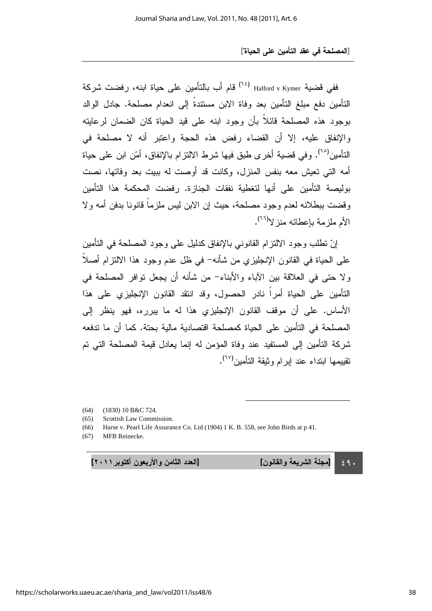ففي قضية Halford v Kymer <sup>(٦٤)</sup> قام أب بالتأمين على حياة ابنه، رفضت شركة التأمين دفع مبلغ التأمين بعد وفاة الابن مستندة إلى انعدام مصلحة. جادل الوالد بوجود هذه المصلحة قائلا بأن وجود ابنه على قيد الحياة كان الضمان لرعايته والإنفاق عليه، إلا أن القضاء رفض هذه الحجة واعتبر أنه لا مصلحة في النأمين<sup>(٦٥)</sup>. وفي قضية أخر ى طبق فيها شرط الالنزام بالإنفاق، أمّن ابن على حياة أمه التي تعيش معه بنفس المنزل، وكانت قد أوصت له ببيت بعد وفاتها، نصت بوليصة التأمين على أنها لتغطية نفقات الجنازة. رفضت المحكمة هذا التأمين وقضت ببطلانه لعدم وجود مصلحة، حيث إن الابن ليس ملزما قانونا بدفن أمه ولا الأم ملزمة بإعطائه منز لا<sup>(٢٦)</sup>.

إنّ نطلب وجود الالنزام القانوني بالإنفاق كدليل على وجود المصلحة في النامين على الحياة في القانون الإنجليزي من شأنه– في ظل عدم وجود هذا الالتزام أصلا ولا حتى في العلاقة بين الاباء والأبناء– من شأنه أن يجعل توافر المصلحة في التأمين على الحياة أمرا نادر الحصول، وقد انتقد القانون الإنجليزي على هذا الأساس. على أن موقف القانون الإنجليزي هذا له ما بيرره، فهو ينظر إلى المصلحة في التأمين على الحياة كمصلحة اقتصادية مالية بحتة. كما أن ما تدفعه شركة النَّامين إلى المستفيد عند وفاة المؤمن له إنما يعادل قيمة المصلحة التي تم تقييمها ابتداء عند إبرام وثيقة التأمين<sup>(٦٧)</sup>.

l

(64) (1830) 10 B&C 724.

(65) Scottish Law Commission.

(66) Harse v. Pearl Life Assurance Co. Ltd (1904) 1 K. B. 558, see John Birds at p 41.

(67) MFB Reinecke.

دد الثامن والأربعون أكتوبر ٢٠١١]

 $\epsilon$ 9. [مجلة الشريعة والقانون] [الع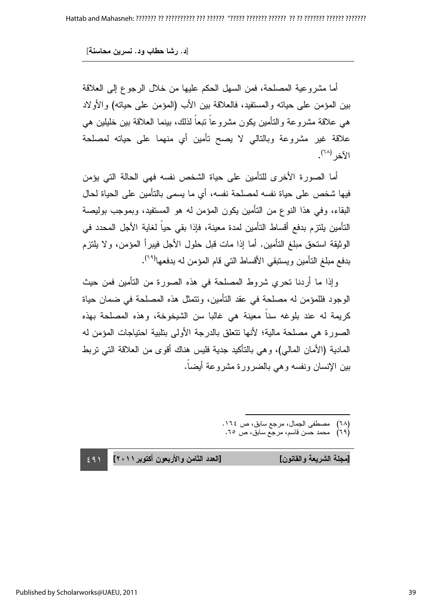أما مشروعية المصلحة، فمن السهل الحكم عليها من خلال الرجوع إلى العلاقة بين المؤمن على حياته والمستفيد، فالعلاقة بين الأب (المؤمن على حياته) والأولاد هي علاقة مشروعة والنامين يكون مشروعا نبعا لذلك، بينما العلاقة بين خليلين هي علاقة غير مشروعة وبالتالي لا يصح تأمين أي منهما على حياته لمصلحة الآخر <sup>(٦٨)</sup>.

أما الصورة الأخرى للتأمين على حياة الشخص نفسه فهي الحالة التي يؤمن فيها شخص على حياة نفسه لمصلحة نفسه، أي ما يسمى بالتأمين على الحياة لحال البقاء، وفي هذا النوع من النامين يكون المؤمن له هو المستفيد، وبموجب بوليصة التأمين يلتز م بدفع أقساط التأمين لمدة معينة، فإذا بقى حياً لغاية الأجل المحدد في الوثيقة استحق مبلغ النامين. أما إذا مات قبل حلول الأجل فيبرأ المؤمن، ولا يلتزم بدفع مبلغ النأمين ويستبقي الأقساط الني قام المؤمن له بدفعها<sup>(٢٩)</sup>.

وإذا ما أردنا تحري شروط المصلحة في هذه الصورة من التأمين فمن حيث الوجود فللمؤمن له مصلحة في عقد التامين، ونتمثل هذه المصلحة في ضمان حياة كريمة له عند بلوغه سنا معينة هي غالبا سن الشيخوخة، وهذه المصلحة بهذه الصورة هي مصلحة مالية؛ لأنها نتعلق بالدرجة الأولى بتلبية احتياجات المؤمن له المادية (الأمان المالي)، و هي بالناكيد جدية فليس هناك اقوى من العلاقة التي نربط بين الإنسان ونفسه وهي بالضرورة مشروعة أيضا.

- $\overline{a}$ (٦٨) مصطفى الجمال، مرجع سابق، ص ١٦٤.
	- (٦٩) محمد حسن قاسم، مرجع سابق، ص ٦٥.

[مجلة الشريعة والقانون] [العا

 $+$  29) دد الثامن والأربعون أكتوبر ٢٠١١]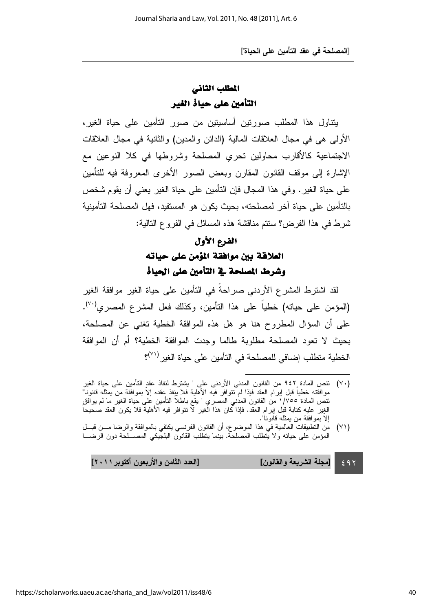## المطلب الثاني التأمين على حياة الغير

يتناول هذا المطلب صورتين أساسيتين من صور التأمين على حياة الغير، الأولى هي في مجال العلاقات المالية (الدائن والمدين) والثانية في مجال العلاقات الاجتماعية كالأقارب محاولين تحري المصلحة وشروطها في كلا النوعين مع الإشارة إلى موقف القانون المقارن وبعض الصور الأخرى المعروفة فيه للتأمين على حياة الغير . وفي هذا المجال فإن النأمين على حياة الغير يعني أن يقوم شخص بالتأمين على حياة اخر لمصلحته، بحيث يكون هو المستفيد، فهل المصلحة التأمينية شرط في هذا الفرض؟ سنتم مناقشة هذه المسائل في الفرو ع التالية:

#### الفرع الأول

## العلاقة بين موافقة المؤمن على حياته وشرط المصلحة في التأمين على الحياة

لقد اشترط المشرع الأردني صراحة في التأمين على حياة الغير موافقة الغير (المؤمن على حيانه) خطياً على هذا النأمين، وكذلك فعل المشرع المصري<sup>(٧٠)</sup>. على أن السؤال المطروح هنا هو هل هذه الموافقة الخطية نغني عن المصلحة، بحيث لا تعود المصلحة مطلوبة طالما وجدت الموافقة الخطية؟ أم أن الموافقة الخطية منطلب إضافي للمصلحة في التأمين على حياة الغير <sup>(٧٠)</sup>؟

 $291$ دد الثامن والأربعون أكتوبر ٢٠١١] [مجلة الشريعة والقانون] [الع

l (٧٠) نتص المادة با ٩٤٢ من القانون المدني الاردني علبي " يشترط لنفاذ عقدِ النامين على حياة الغير موافقته خطيا قبل إبرام العقد فإذا لم نتوافر فيه الاهلية فلا ينفذ عِقده إلا بموافقة من يمثله قانونا" نتص المادة ١/٧٥٥ من القانون المدني المصري " بقع باطلا التامين على حياة الغير ما لم يوافق الغِير عليه كتابة قبل إبرام العقد. فإذا كان هذا الغير لا نتوافر فيه الاهلية فلا يكون العقد صحيحاً إلا بموافقة من بمثله قانونا".

<sup>(</sup>٧١) من النطبيقات الـعالمية في هذا الموضوع، ان القانون الفرنسي يكتفي بالمو افقة والرضا مـــن قبـــل المؤمن على حياته ولا يتطلب المصلحة. بينما يتطلب القانون البلجيكي المصــــلحة دون الرضــــا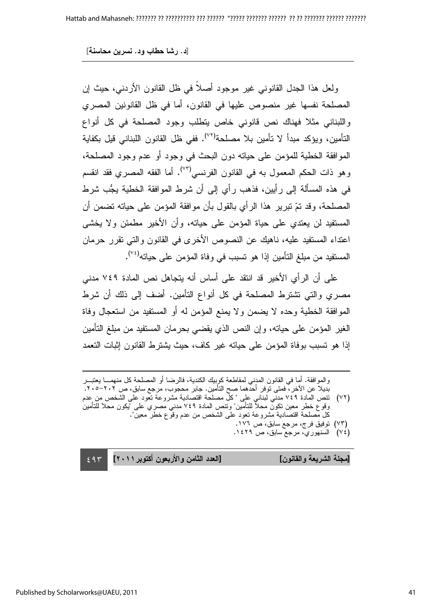ولعل هذا الجدل القانوني غير موجود أصلا في ظل القانون الأردني، حيث إن المصلحة نفسها غير منصوص عليها في القانون، أما في ظل القانونين المصري واللبناني مثلا فهناك نص قانوني خاص يتطلب وجود المصلحة في كل أنواع التأمين، ويؤكد مبدأ لا تأمين بلا مصلحة<sup>(٧٢)</sup>. ففي ظل القانون اللبناني قيل بكفاية الموافقة الخطية للمؤمن على حياته دون البحث في وجود أو عدم وجود المصلحة، و هو ذات الحكم المعمول به في القانون الفرنسي<sup>(٧٣)</sup>. أما الفقه المصري فقد انقسم في هذه المسألة إلى رأيين، فذهب رأي إلى أن شرط الموافقة الخطية يجُّب شرط المصلحة، وقد نمّ نبرير هذا الرأي بالقول بأن موافقة المؤمن على حياته نضمن أن المستفيد لن يعتدي على حياة المؤمن على حياته، وأن الأخير مطمئن ولا يخشى اعتداء المستفيد عليه، ناهيك عن النصوص الأخرى في القانون والتي تقرر حرمان المستفيد من مبلغ التأمين إذا هو تسبب في وفاة المؤمن على حياته<sup>(٢٧</sup>).

على أن الرأي الأخير قد انتقد على أساس أنه يتجاهل نص المادة ٧٤٩ مدني مصري والتي نتنترط المصلحة في كل أنواع التامين. أضف إلى ذلك أن شرط الموافقة الخطية وحده لا يضمن ولا يمنع المؤمن له أو المستفيد من استعجال وفاة الغير المؤمن على حياته، وإن النص الذي يقضـي بـحرمان المستفيد من مبلـغ التامين إذا هو تسبب بوفاة المؤمن على حيانه غير كاف، حيث يشترط القانون إثبات النعمد

- وقوع خطر معين نكون محلا للنأمين" ونتص المادة ٧٤٩ مدني مصري على "يكون محلا للنأمين كل مصلحة اقتصادية مشروعة تعود على الشخص من عدم وقوع خطر معين".
	- (٧٣) توفيق فرج، مرجع سابق، ص ١٧٦.
	- (٢٤) السنهوري، مرجع سابق، ص ٢٢٩. .

 $\epsilon$  9  $\tau$ دد الثامن والأربعون أكتوبر ٢٠١١]

[مجلة الشريعة والقانون] [العا

 $\overline{a}$ 

والموافقة. اما في القانون المدني لمقاطعة كوبيك الكندية، فالرضا او المصلحة كل منهمـــا يعتبـــر بديلا عن الآخر ، فمتى توفر أحدهما صح التأمين. جابر محجوب، مرجع سابق، ص ٢٠٢–٢٠٥. (٧٢) نتص المادة ٧٤٩ مدني لبناني علي "كل مصلحة اقتصادية مشروعة نعود على الشخص من عدم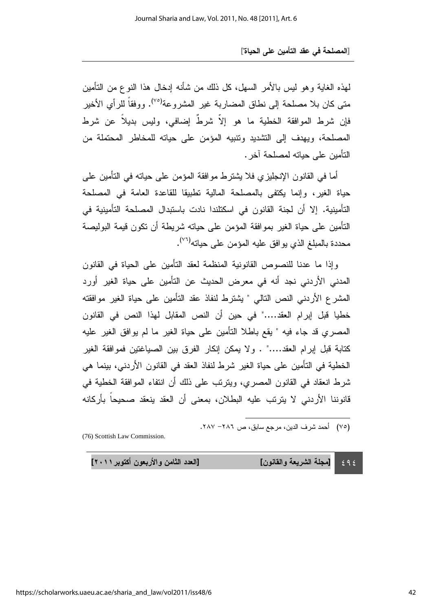لمهذه الغاية و هو لُميس بـالأمر السَّهل، كلَّ ذلك من شأنه إدخال هذا النوع من التَّامين متـى كـان بـلا مصلحة إلـى نطـاق المضـاربـة غير المشروعة<sup>(٧٥)</sup>. ووفقاً للرأي الأخير فإن شرط الموافقة الخطية ما هو إلا شرط إضافي، وليس بديلا عن شرط المصلحة، ويهدف إلى التشديد ونتبيه المؤمن على حياته للمخاطر المحتملة من النأمبن على حياته لمصلحة آخر .

أما في القانون الإنجليزي فلا يشترط موافقة المؤمن على حياته في التأمين على حياة الغير، وإنما يكتفى بالمصلحة المالية تطبيقا للقاعدة العامة في المصلحة التأمينية. إلا أن لجنة القانون في اسكتلندا نادت باستبدال المصلحة التأمينية في النَّامين على حياة الغير بموافقة المؤمن على حيانه شريطة أن نكون قيمة البوليصة محددة بالمبلغ الذي يو افق عليه المؤمن على حياته<sup>(٢٦)</sup>.

وإذا ما عدنا للنصوص القانونية المنظمة لعقد النامين على الحياة في القانون المدني الأردني نجد أنه في معرض الحديث عن التأمين على حياة الغير أورد المشرع الأردني النص النالي " يشترط لنفاذ عقد النأمين على حياة الغير موافقته خطيا قبل إبرام العقد...." في حين أن النص المقابل لهذا النص في القانون المصـري قد جاء فيه " يقع باطـلا النـْأمين علـى حياة الـغير ما لم يوافق الـغير عليه كتابة قبل إبرام العقد...." . ولا يمكن إنكار الفرق بين الصياغتين فموافقة الغير الخطية في التأمين على حياة الغير شرط لنفاذ العقد في القانون الأردني، بينما هي شرط انعقاد في القانون المصري، ويترتب على ذلك أن انتفاء الموافقة الخطبة في قانوننا الأردني لا يترتب عليه البطلان، بمعنى أن العقد ينعقد صحيحا بأركانه

(٧٥) أحمد شرف الدين، مرجع سابق، ص ٢٨٦– ٢٨٧.

l

(76) Scottish Law Commission.

 $292$ [مجلة الشريعة والقانون] [الع

دد الثامن والأربعون أكتوبر ٢٠١١]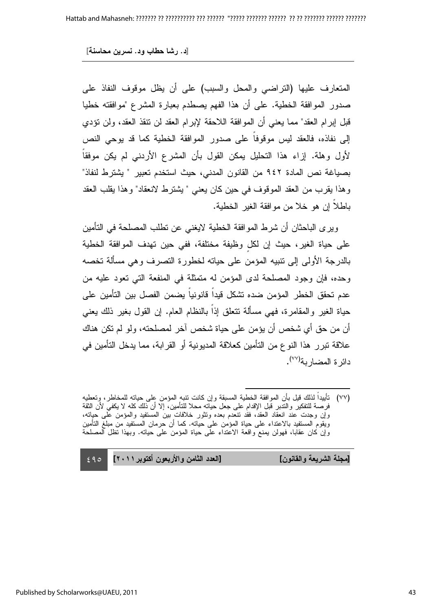المتعارف عليها (النراضـي والمحل والسبب) علـى أن يظل موقوف النفاذ علـى صدور الموافقة الخطية. على أن هذا الفهم يصطدم بعبارة المشرع "موافقته خطيا قبل إبرام العقد" مما يعني أن الموافقة اللاحقة لإبرام العقد لن نتقذ العقد، ولن نؤدي إلى نفاذه، فالعقد ليس موقوفا على صدور الموافقة الخطية كما قد يوحي النص لأول وهلة. إزاء هذا التحليل يمكن القول بأن المشرع الأردني لم يكن موفقا بصياغة نص المادة ٩٤٢ من القانون المدني، حيث استخدم تعبير " يشترط لنفاذ" وهذا يقرب من العقد الموقوف في حين كان يعني " يشترط لانعقاد" وهذا يقلب العقد باطلا إن هو خلا من موافقة الغير الخطية.

ويرى الباحثان أن شرط الموافقة الخطية لايغني عن نطلب المصلحة في التأمين على حياة الغير، حيث إن لكل وظيفة مختلفة، ففي حين تهدف الموافقة الخطية بالدرجة الاولى إلى نتبيه المؤمن على حياته لخطورة التصرف وهي مسالة تخصه وحده، فإن وجود المصلحة لدى المؤمن له متمثلة في المنفعة التي تعود عليه من عدم تحقق الخطر المؤمن ضده نشكل قيدا قانونيا يضمن الفصل بين التأمين على حياة الغير والمقامرة، فهي مسألة نتعلَّق إذا بالنظام العام. إن القول بغير ذلك يعني أن من حق أي شخص أن يؤمن على حياة شخص اخر لمصلحته، ولو لم نكن هناك علاقة تبرر هذا النوع من التأمين كعلاقة المديونية أو القرابة، مما يدخل التأمين في دائرة المضاربة<sup>(٧٧)</sup>.

[مجلة الشريعة والقانون] [العا

 $\epsilon$ 90 دد الثامن والأربعون أكتوبر ٢٠١١]

 $\overline{a}$ (٧٧) نأييدا لذلك قيل بأن الموافقة الخطية المسبقة وإن كانت نتبه المؤمن على حيانه للمخاطر، وتعطيه فرصة للتفكير والنندبر قبل الإقدام على جعل حياته محلا للتأمين، إلا أن ذلك كله لا يكفي لأن الثقة وإن وجدت عند انعقاد العقد، فقد تنعدم بعده وتثور خلافات بين المستفيد والمؤمن على حبانه، ويقوم المستفيد بالاعتداء على حياة المؤمن على حياته. كما أن حرمان المستفيد من مبلغ التأمين وإن كان عقابًا، فهولن يمنع واقعة الاعتداء على حياة المؤمن على حيانه. وبهذا نظل المصلحة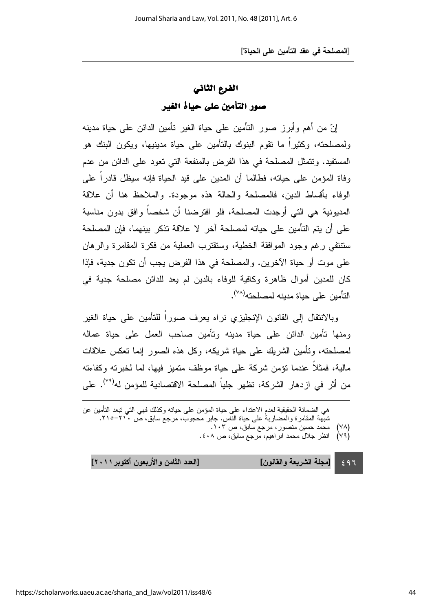#### الفرع الثاني

### صور التأمين على حياة الغير

إنّ من أهم وأبرز صور النّامين على حياة الغير نامين الدائن على حياة مدينه ولمصلحته، وكثيرًا ما نقوم البنوك بالتأمين على حياة مدينيها، ويكون البنك هو المستفيد. ونتمثَّل المصلحة في هذا الفرض بالمنفعة التي نعود على الدائن من عدم وفاة المؤمن على حياته، فطالما أن المدين على قيد الحياة فإنه سيظل قادرا على الوفاء باقساط الدين، فالمصلحة والحالة هذه موجودة. والملاحظ هنا أن علاقة المديونية هي التي أوجدت المصلحة، فلو افترضنا أن شخصا وافق بدون مناسبة على أن بتم التأمين على حباته لمصلحة آخر لا علاقة تذكر ببنهما، فإن المصلحة ستتنفي رغم وجود الموافقة الخطية، وستقترب العملية من فكرة المقامرة والرهان على موت أو حياة الاخرين. والمصلحة في هذا الفرض يجب أن نكون جدية، فإذا كان للمدين أموال ظاهرة وكافية للوفاء بالدين لم يعد للدائن مصلحة جدية في التأمين على حياة مدينه لمصلحته<sup>(٧٨)</sup>.

وبالانتقال إلى القانون الإنجليزي نراه يعرف صورا للنأمين على حياة الغير ومنها نأمين الدائن على حياة مدينه ونأمين صـاحب العمل على حياة عماله لمصلحته، وتأمين الشريك على حياة شريكه، وكل هذه الصور إنما تعكس علاقات مالية، فمثلا عندما نؤمن شركة على حياة موظف متميز فيها، لما لخبرته وكفاءته من أثر في ازدهار الشركة، تظهر جلياً المصلحة الاقتصادية للمؤمن له<sup>(٣٩)</sup>. على

| هي الضمانة الحقيقية لعدم الاعتداء على حياة المؤمن على حياته وكذلك فهي التي نبعد التأمين عن |  |
|--------------------------------------------------------------------------------------------|--|
| شبهة المقامرة والمضاربة على حياة الناس. جابر محجوب، مرجع سابق، ص ٢١٠-٢١٥.                  |  |
| (٧٨) محمد حسين منصور، مرجع سابق، ص ١٠٣.                                                    |  |
| (۷۹)   انظر جلال محمد ابراهیم، مرجع سابق، ص ٤٠٨.                                           |  |

 $\leq 97$ دد الثامن والأربعون أكتوبر ٢٠١١] [مجلة الشريعة والقانون] [الع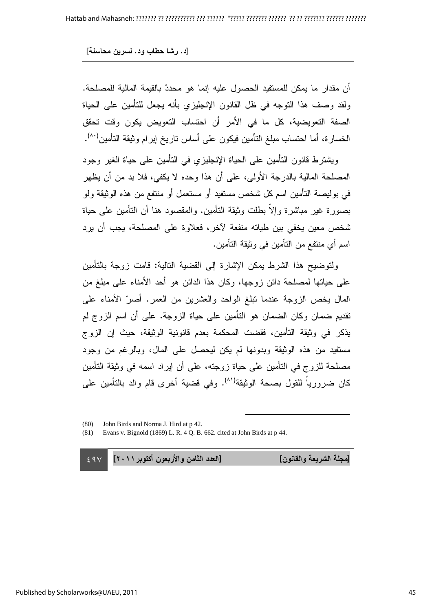أن مقدار ما يمكن للمستفيد الحصول عليه إنما هو محددٌ بالقيمة المالية للمصلحة. ولقد وصف هذا النوجه في ظل القانون الإنجليزي بأنه يجعل للنامين على الحياة الصفة التعويضية، كل ما في الأمر أن احتساب التعويض يكون وقت تحقق الخسارة، أما احتساب مبلغ التأمين فيكون على أساس تاريخ إبرام وثيقة التأمين<sup>(^^)</sup>.

ويشترط قانون التأمين على الحياة الإنجليزي في التأمين على حياة الغير وجود المصلحة المالية بالدرجة الأولى، على أن هذا وحده لا يكفي، فلا بد من أن يظهر في بوليصة التأمين اسم كل شخص مستفيد أو مستعمل أو منتفع من هذه الوثيقة ولو بصورة غير مباشرة وإلا بطلت وثيقة التأمين. والمقصود هنا أن التأمين على حياة شخص معين يخفي بين طياته منفعة لاخر ، فعلاوة على المصلحة، يجب أن يرد اسم أي منتفع من النامين في وثيقة النامين.

ولنوضيح هذا الشرط بمكن الإشارة إلى القضية النالية: قامت زوجة بالنامين على حياتها لمصلحة دائن زوجها، وكان هذا الدائن هو أحد الأمناء على مبلغ من المال يخص الزوجة عندما نبلغ الواحد والعشرين من العمر. أصرّ الأمناء على نقديم ضمان وكان الضمان هو النأمين على حياة الزوجة. على أن اسم الزوج لم يذكر في وثيقة التأمين، فقضت المحكمة بعدم قانونية الوثيقة، حيث إن الزوج مستفيد من هذه الوثيقة وبدونها لم يكن ليحصل على المال، وبالرغم من وجود مصلحة للزوج في النامين على حياة زوجته، على أن إيراد اسمه في وثيقة النامين كان ضرورياً للقول بصحة الوثيقة<sup>(\^)</sup>. وفي قضية أخرى قام والد بالتأمين على

 $\overline{a}$ 

 $-$  29 $\vee$ دد الثامن والأربعون أكتوبر ٢٠١١]

[مجلة الشريعة والقانون] [العا

<sup>(80)</sup> John Birds and Norma J. Hird at p 42.

<sup>(81)</sup> Evans v. Bignold (1869) L. R. 4 Q. B. 662. cited at John Birds at p 44.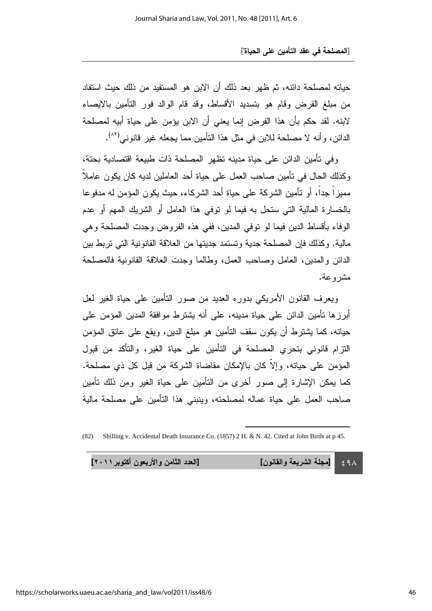حياته لمصلحة دائنه، ثم ظهر بعد ذلك أن الابن هو المستفيد من ذلك حيث استفاد من مبلغ القرض وقام هو بتسديد الأقساط، وقد قام الوالد فور النأمين بالايصاء لابنه. لقد حكم بأن هذا الفرض إنما يعني أن الابن يؤمن على حياة أبيه لمصلحة الدائن، وأنه لا مصلحة للابن في مثل هذا النأمين مما يجعله غير قانوني<sup>(٨٢)</sup>.

وفي تأمين الدائن على حياة مدينه تظهر المصلحة ذات طبيعة اقتصادية بحتة، وكذلك الحال في نأمين صـاحب العمل علـى حياة أحد الـعاملين لديه كـان يكون عاملا مميزًا جدًا، أو تأمين الشركة على حياة أحد الشركاء، حيث يكون المؤمن له مدفوعا بالخسارة المالية التي ستحل به فيما لو توفي هذا العامل أو الشريك الممهم أو عدم الوفاء باقساط الدين فيما لو نوفي المدين، ففي هذه الفروض وجدت المصلحة وهي مالية. وكذلك فإن المصلحة جدية وتستمد جديتها من العلاقة القانونية التي تربط بين الدائن والمدين، العامل وصـاحب العمل، وطـالمـا وجدت العلاقة القانونية فالمصلحة مشروعة.

ويعرف القانون الأمريكي بدوره العديد من صور التأمين على حياة الغير لعل أبرز ها نامين الدائن على حياة مدينه، على أنه يشترط موافقة المدين المؤمن على حياته، كما يشترط أن يكون سقف التأمين هو مبلغ الدين، ويقع على عاتق المؤمن النترام قانوني بتحري المصلحة في النامين على حياة الغير، والتاكد من قبول المؤمن على حياته، وإلا كان بالإمكان مقاضاة الشركة من قبل كل ذي مصلحة. كما يمكن الإشارة إلى صور أخرى من النامين على حياة الغير ومن ذلك نامين صاحب العمل على حياة عماله لمصلحته، وينبني هذا التأمين على مصلحة مالية

l

دد الثامن والأربعون أكتوبر ٢٠١١]

 $\epsilon$  9  $\wedge$ [مجلة الشريعة والقانون] [الع

<sup>(82)</sup> Shilling v. Accidental Death Insurance Co. (1857) 2 H. & N. 42. Cited at John Birds at p 45.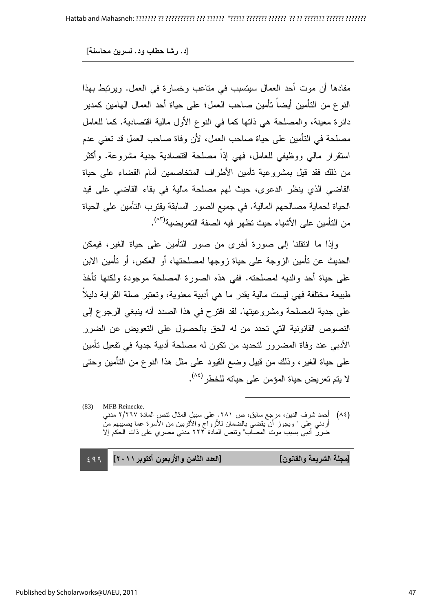[د. رشا حطاب ود. نسرين محاسنة]

مفادها أن موت أحد العمال سيتسبب في متاعب وخسارة في العمل. ويرتبط بهذا النو ع من التأمين أيضـا تأمين صـاحب الـعمل؛ علـى حياة أحد الـعمال الـهامين كمدير دائرة معينة، والمصلحة هي ذاتها كما في النوع الأول مالية اقتصادية. كما للعامل مصلحة في التأمين على حياة صاحب العمل، لأن وفاة صاحب العمل قد تعني عدم استقرار مالي ووظيفي للعامل، فهي إذا مصلحة اقتصادية جدية مشروعة. واكثر من ذلك فقد قيل بمشروعية تأمين الأطراف المتخاصمين أمام القضاء على حياة القاضـي الذي ينظر الدعوى، حيث لمم مصلحة مالية في بقاء القاضـي على قيد الحياة لحماية مصالحهم المالية. في جميع الصور السابقة يقترب التأمين على الحياة من النأمين على الأشياء حيث نظهر فيه الصفة النعويضية<sup>(٨٣)</sup>.

وإذا ما انتقلنا إلى صورة أخرى من صور النامين على حياة الغير، فيمكن الحديث عن نامين الزوجة على حياة زوجها لمصلحتها، او العكس، او نامين الابن على حياة أحد والديه لمصلحته. ففي هذه الصورة المصلحة موجودة ولكنها تأخذ طُبيعة مختلفة فهي ليست مالية بقدر ما هي أدبية معنوية، وتعتبر صلة القرابة دليلا على جدية المصلحة ومشروعيتها. لقد اقترح في هذا الصدد أنه ينبغي الرجوع إلى النصوص القانونية التي تحدد من له الحق بالحصول على التعويض عن الضرر الأدبي عند وفاة المضرور لتحديد من تكون له مصلحة أدبية جدية في تفعيل تأمين علَّـى حياة الغير ، وذلك من قُبيل وضـع القيود علـى مثل هذا النوع من النَّامين وحتـَى لا يتم تعريض حياة المؤمن على حياته للخطر<sup>(٨٤)</sup>.

(83) MFB Reinecke. (٨٤) أحمد شرف الدين، مرجع سابق، ص ٢٨١. على سبيل المثال نتص المادة ٢/٢٦٧ مدني أردني على " ويجوز أن يقضى بالضمان للأزواج والأقربين من الأسرة عما يصيبهم من ضرر أدبي بسبب موت المصاب" وتتص المادة ٢٢٢ مدني مصري على ذات الحكم إلا

 $\overline{a}$ 

| [الـعدد الثّامن والأربعون أكتوبر ٢٠١١]   ٤٩٩ | [مجلة الشريعة والقانون] |
|----------------------------------------------|-------------------------|
|                                              |                         |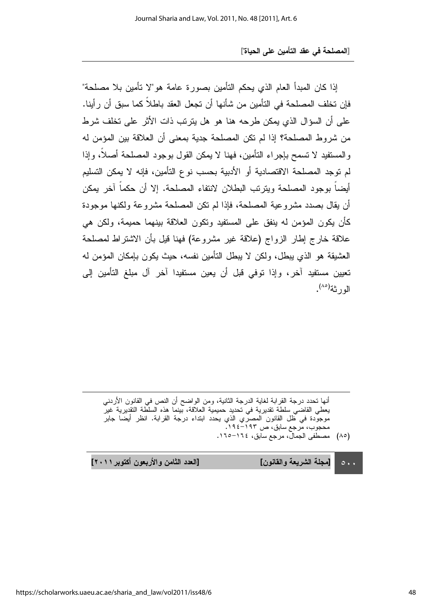إذا كان المبدأ العام الذي يحكم التأمين بصورة عامة هو"لا تأمين بلا مصلحة" فإن تخلف المصلحة في التأمين من شأنها أن تجعل العقد باطلاً كما سبق أن رأينا. على أن السؤال الذي يمكن طرحه هنا هو هل يترتب ذات الأثر على تخلف شرط من شروط المصلحة؟ إذا لم نكن المصلحة جدية بمعنى أن العلاقة بين المؤمن له والمستفيد لا تسمح بإجراء التأمين، فهنا لا يمكن القول بوجود المصلحة أصلا، وإذا لم توجد المصلحة الاقتصادية أو الأدبية بحسب نوع التأمين، فإنه لا يمكن التسليم أيضا بوجود المصلحة ويترتب البطلان لانتفاء المصلحة. إلا أن حكما اخر يمكن أن يقال بصدد مشروعية المصلحة، فإذا لم نكن المصلحة مشروعة ولكنها موجودة كَان يكون المؤمن له ينفق على المستفيد ونكون العلاقة بينهما حميمة، ولكن هي علاقة خارج إطار الزواج (علاقة غير مشروعة) فهنا قيل بأن الاشتراط لمصلحة العشيقة هو الذي يبطل، ولكن لا يبطل النامين نفسه، حيث يكون بإمكان المؤمن له تعيين مستفيد اخر ، وإذا توفي قبل أن يعين مستفيدا اخر ال مبلغ التأمين إلى الورثة<sup>(٨٥)</sup>.

انـها تـحدد درجة القرابة لـغاية الدرجة الثانية، ومن الواضـح ان النص في القانون الاردنـي يعطي القاضـي سلطة تقديرية في تحديد حميمية العلاقة، بينما هذه السلّطة التقديرية غيرً موجودة في ظل القانون المصري الذي يحدد ابتداء درجة القرابة. انظر ايضا جابر محجوب، مرجع سابق، ص ۱۹۳–۱۹۶.

(٨٥) مصطفى الجمال، مرجع سابق، ١٦٤–١٦٥.

 $\circ \cdot \cdot$ [مجلة الشريعة والقانون] [الع

دد الثامن والأربعون أكتوبر ٢٠١١]

l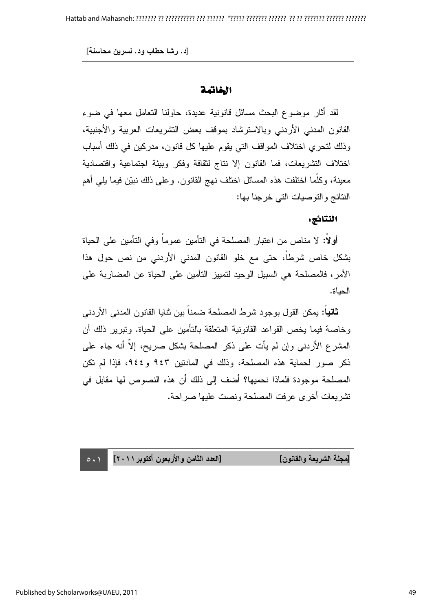#### الخاتمة

لقد أثار موضوع البحث مسائل قانونية عديدة، حاولنا النعامل معها في ضوء القانون المدني الأردني وبالاسترشاد بموقف بعض التشريعات العربية والأجنبية، وذلك لتحري اختلاف المواقف التي يقوم عليها كل قانون، مدركين في ذلك أسباب اختلاف التشريعات، فما القانون إلا نتاج لثقافة وفكر وبيئة اجتماعية واقتصادية معينة، وكلما اختلفت هذه المسائل اختلف نهج القانون. وعلى ذلك نبيّن فيما يلي أهم النتائج والنوصيات التي خرجنا بها:

#### النتائج:

أولا: لا مناص من اعتبار المصلحة في التأمين عموما وفي التأمين على الحياة بشكل خاص شرطا، حتى مع خلو القانون المدني الأردني من نص حول هذا الأمر ، فالمصلحة هي السبيل الوحيد لتمييز التأمين على الحياة عن المضاربة على الحداة.

ث**انيا:** يمكن القول بوجود شرط المصلحة ضمنا بين ثنايا القانون المدني الأردني وخاصة فيما يخص القواعد القانونية المتعلقة بالتأمين على الحياة. ونبرير ذلك أن المشرع الأردني وإن لم يأت على ذكر المصلحة بشكل صريح، إلا أنه جاء على ذكر صور لحماية هذه المصلحة، وذلك في المادنين ٩٤٣ و ٤٤٤، فإذا لم نكن المصلحة موجودة فلماذا نحميها؟ أضف إلى ذلك أن هذه النصوص لها مقابل في نشريعات أخرى عرفت المصلحة ونصت عليها صراحة.

[مجلة الشريعة والقانون] [العا

دد الثامن والأربعون أكتوبر ٢٠١١]

 $\circ \cdot \cdot$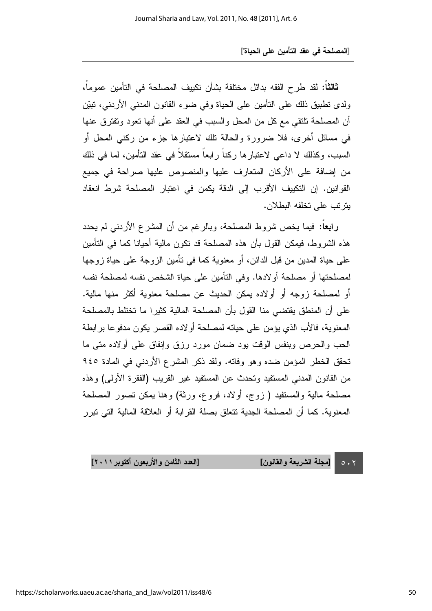ث**الثا:** لقد طرح الفقه بدائل مختلفة بشأن تكيبف المصلحة في التأمين عموما، ولدى نطبيق ذلك على النامين على الحياة وفي ضوء القانون المدني الأردني، نبيّن أن المصلحة تلتقي مع كل من المحل والسبب في العقد على أنها تعود وتفترق عنها في مسائل أخرى، فلا ضرورة والحالة نلك لاعتبارها جزء من ركني المحل أو السبب، وكذلك لا داعي لاعتبارها ركنا رابعا مستقلا في عقد التأمين، لما في ذلك من إضافة على الأركان المتعارف عليها والمنصوص عليها صراحة في جميع القوانين. إن النكييف الأقرب إلى الدقة يكمن في اعتبار المصلحة شرط انعقاد يتز تب على تخلفه البطلان.

را**بعا**: فيما يخص شروط المصلحة، وبالرغم من أن المشرع الأردني لم يحدد هذه الشروط، فيمكن القول بأن هذه المصلحة قد نكون مالية أحيانا كما في التأمين على حياة المدين من قبل الدائن، أو معنوية كما في نأمين الزوجة على حياة زوجها لمصلحتها أو مصلحة أولادها. وفي التأمين على حياة الشخص نفسه لمصلحة نفسه او لمصلحة زوجه او اولاده بمكن الحديث عن مصلحة معنوية اكثر منها مالية. على أن المنطق يقتضي منا القول بأن المصلحة المالية كثيرا ما تختلط بالمصلحة المعنوية، فالأب الذي يؤمن على حياته لمصلحة أولاده القصر يكون مدفوعا برابطة الحب والحرص وبنفس الوقت بود ضمان مورد رزق وإنفاق على أولاده متى ما تحقق الخطر المؤمن ضده وهو وفاته. ولقد ذكر المشرع الأردني في المادة ٩٤٥ من القانون المدني المستفيد وتحدث عن المستفيد غير القريب (الفقرة الأولى) وهذه مصلحة مالية والمستفيد ( زوج، أولاد، فروع، ورثة) وهنا يمكن تصور المصلحة المعنوية. كما أن المصلحة الجدية نتعلق بصلة القرابة أو العلاقة المالية التي نبرر

> $\circ \cdot \tau$ [مجلة الشريعة والقانون] [الع

دد الثامن والأربعون أكتوبر ٢٠١١]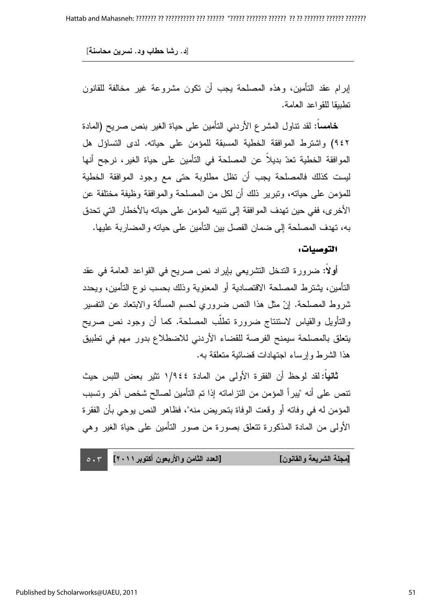إبرام عقد النامين، وهذه المصلحة يجب أن نكون مشروعة غير مخالفة للقانون نطبيقا للقواعد العامة.

**خامسا:** لقد نتاول المشرع الأردني التأمين على حياة الغير بنص صريح (المادة ٩٤٢) واشترط الموافقة الخطية المسبقة للمؤمن على حياته. لدى التساؤل هل الموافقة الخطية تعدّ بديلا عن المصلحة في التأمين على حياة الغير، نرجح أنها ليست كذلك فالمصلحة يجب أن نظل مطلوبة حتى مع وجود الموافقة الخطية للمؤمن على حياته، وتبرير ذلك أن لكل من المصلحة والموافقة وظيفة مختلفة عن الأخر ى، ففي حين تهدف المو افقة إلى نتبيه المؤمن على حياته بالأخطار التي تحدق به، نهدف المصلحة إلى ضمان الفصل بين النامين على حياته والمضاربة عليها.

#### التوصيات:

أولا: ضرورة الندخل التشريعي بإيراد نص صريح في القواعد العامة في عقد النَّامين، يُشترط المصلَّحة الاقتصادية أو المعنوية وذلك بـحسب نوع التَّامين، ويحدد ثَىروط المصلحة. إنّ مثل هذا النص ضروري لحسم المسألة والابتعاد عن النفسير والتأويل والقياس لاستنتاج ضرورة نطلب المصلحة. كما أن وجود نص صريح يتعلق بالمصلحة سيمنح الفرصة للقضاء الأردني للاضطلاع بدور مهم في تطبيق هذا الشرط وإرساء اجتهادات قضائية متعلقة به.

ثانيا: لقد لوحظ أن الفقرة الأولى من المادة ١/٩٤٤ تثير بعض اللبس حيث نتص على أنه "يبرأ المؤمن من النزاماته إذا تم النامين لصالح شخص اخر ونسبب المؤمن له في وفاته او وقعت الوفاة بتحريض منه"، فظاهر النص بوحي بان الفقرة الأولى من المادة المذكورة نتعلق بصورة من صور التأمين على حياة الغير وهي

 $\circ \cdot \tau$ دد الثامن والأربعون أكتوبر ٢٠١١] [مجلة الشريعة والقانون] [العا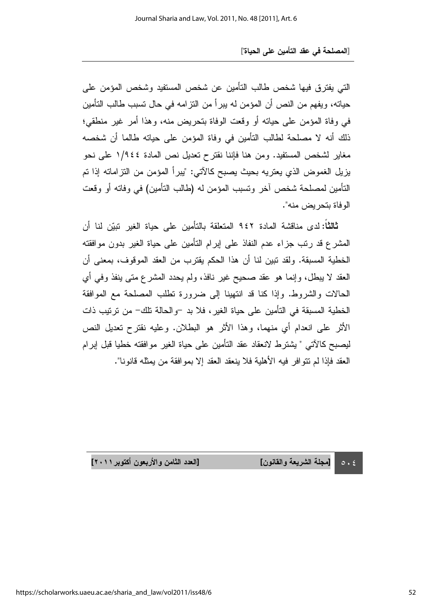التي يفترق فيها شخص طالب التأمين عن شخص المستفيد وشخص المؤمن على حياته، ويفهم من النص أن المؤمن له يبرأ من النزامه في حال نسبب طالب التأمين في وفاة المؤمن على حياته أو وقعت الوفاة بتحريض منه، وهذا أمر غير منطقي؛ ذلك أنه لا مصلحة لطالب التأمين في وفاة المؤمن على حياته طالما أن شخصه مغاير لشخص المستفيد. ومن هنا فإننا نقترح نعديل نص المادة ١/٩٤٤ على نحو يزيل الغموض الذي يعتريه بحيث يصبح كالاتي: "يبرأ المؤمن من التزاماته إذا تم التأمين لمصلحة شخص اخر وتسبب المؤمن له (طالب التأمين) في وفاته أو وقعت الوفاة بتحريض منه".

**ثالثًا:** لدى مناقشة المادة ٩٤٢ المتعلقة بالتأمين على حياة الغير نبيّن لنا أن المشرع قد رتب جزاء عدم النفاذ على إبرام النامين على حياة الغير بدون موافقته الخطية المسبقة. ولقد نبين لنا أن هذا الحكم يقترب من العقد الموقوف، بمعنى أن العقد لا يبطل، وإنما هو عقد صحيح غير نافذ، ولم يحدد المشرع متى ينفذ وفي أي الحالات والشروط. وإذا كنا قد انتهينا إلى ضرورة تطلب المصلحة مع الموافقة الخطية المسبقة في التأمين على حياة الغير، فلا بد –والحالة تلك– من ترتيب ذات الأثر على انعدام أي منهما، وهذا الأثر هو البطلان. وعليه نقترح تعديل النص ليصبح كالاتي " يشترط لانعقاد عقد التأمين على حياة الغير موافقته خطيا قبل إبرام العقد فإذا لم نتو افر فيه الأهلية فلا ينعقد العقد إلا بموافقة من يمثله قانونا".

> $\circ \cdot \circ$ [مجلة الشريعة والقانون] [الع

دد الثامن والأربعون أكتوبر ٢٠١١]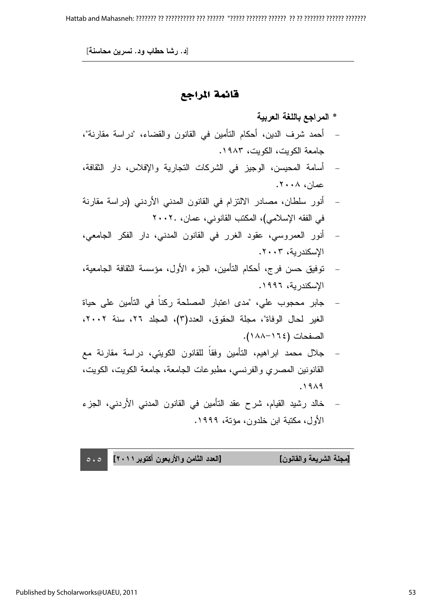## قائمة المراجع

### \* المراجع باللغة العربية

- أحمد شرف الدين، أحكام التأمين في القانون والقضاء، "دراسة مقارنة"، جامعة الكويت، الكويت، ١٩٨٣.
- أسامة المحيسن، الوجيز في الشركات التجارية والإفلاس، دار الثقافة،  $\mathcal{L}(\cdot | \cdot \wedge \cdot \wedge \cdot)$
- − أنور سلطان، مصـادر الالتزام في القانون المدني الأردني (دراسة مقارنة في الفقه الإسلامي)، المكتب القانوني، عمان، ٢٠٠٢.
- أنور العمروسي، عقود الغرر في القانون المدني، دار الفكر الجامعي، الاسكندرية، ٢٠٠٣.
- توفيق حسن فرج، أحكام التأمين، الجزء الأول، مؤسسة الثقافة الجامعية، الإسكندرية، ١٩٩٦.
- جابر محجوب علي، "مدى اعتبار المصلحة ركنا في التأمين على حياة الغير لحال الوفاة"، مجلَّة الحقوق، العدد(٣)، المجلد ٢٦، سنة ٢٠٠٢، الصفحات (١٦٤–١٨٨).
- جلال محمد ابراهيم، التأمين وفقا للقانون الكويتي، دراسة مقارنة مع القانونين المصري والفرنسي، مطبوعات الجامعة، جامعة الكويت، الكويت،  $.19<sub>A</sub>9$
- خالد رشيد القيام، شرح عقد التأمين في القانون المدني الأردني، الجزء الأول، مكتبة ابن خلدون، مؤنة، ١٩٩٩.

 $\circ \cdot \circ$ دد الثامن والأربعون أكتوبر ٢٠١١] [مجلة الشريعة والقانون] [العا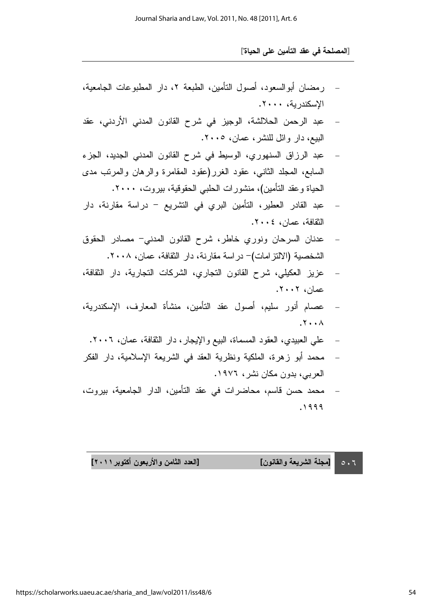- رمضان أبوالسعود، أصول التأمين، الطبعة ٢، دار المطبوعات الجامعية، الإسكندرية، ٢٠٠٠.
- عبد الرحمن الحلالشة، الوجيز في شرح القانون المدني الأردني، عقد البيع، دار وائل للنشر، عمان، ٢٠٠٥.
- عبد الرزاق السنهوري، الوسيط في شرح القانون المدني الجديد، الجزء السابع، المجلد الثاني، عقود الغرر(عقود المقامرة والرهان والمرنب مدى الحياة وعقد التأمين)، منشورات الحلبي الحقوقية، بيروت، ٢٠٠٠.
- عبد القادر العطير، التأمين البري في التشريع دراسة مقارنة، دار الثقافة، عمان، ٢٠٠٤.
- − عدنان السرحان ونوري خاطر، شرح القانون المدني− مصـادر الحقوق الشخصية (الالتز امات)– در اسة مقارنة، دار الثقافة، عمان، ٢٠٠٨.
- عزيز العكيلي، شرح القانون النجاري، الشركات النجارية، دار الثقافة،  $\mathcal{X} \cdot \mathcal{Y} \cdot \mathcal{Y}$ .
- عصـام أنور سليم، أصـول عقد التأمين، منشأة المعارف، الإسكندرية،  $\mathcal{X} \cdot \cdot \Lambda$ 
	- علي العبيدي، العقود المسماة، البيع والإيجار ، دار الثقافة، عمان، ٢٠٠٦.
- محمد أبو زهرة، الملكية ونظرية العقد في الشريعة الإسلامية، دار الفكر العربي، بدون مكان نشر ، ١٩٧٦.
- محمد حسن قاسم، محاضرات في عقد التأمين، الدار الجامعية، بيروت،  $.1999$

 $0.7$ [مجلة الشريعة والقانون] [الع

دد الثامن والأربعون أكتوبر ٢٠١١]